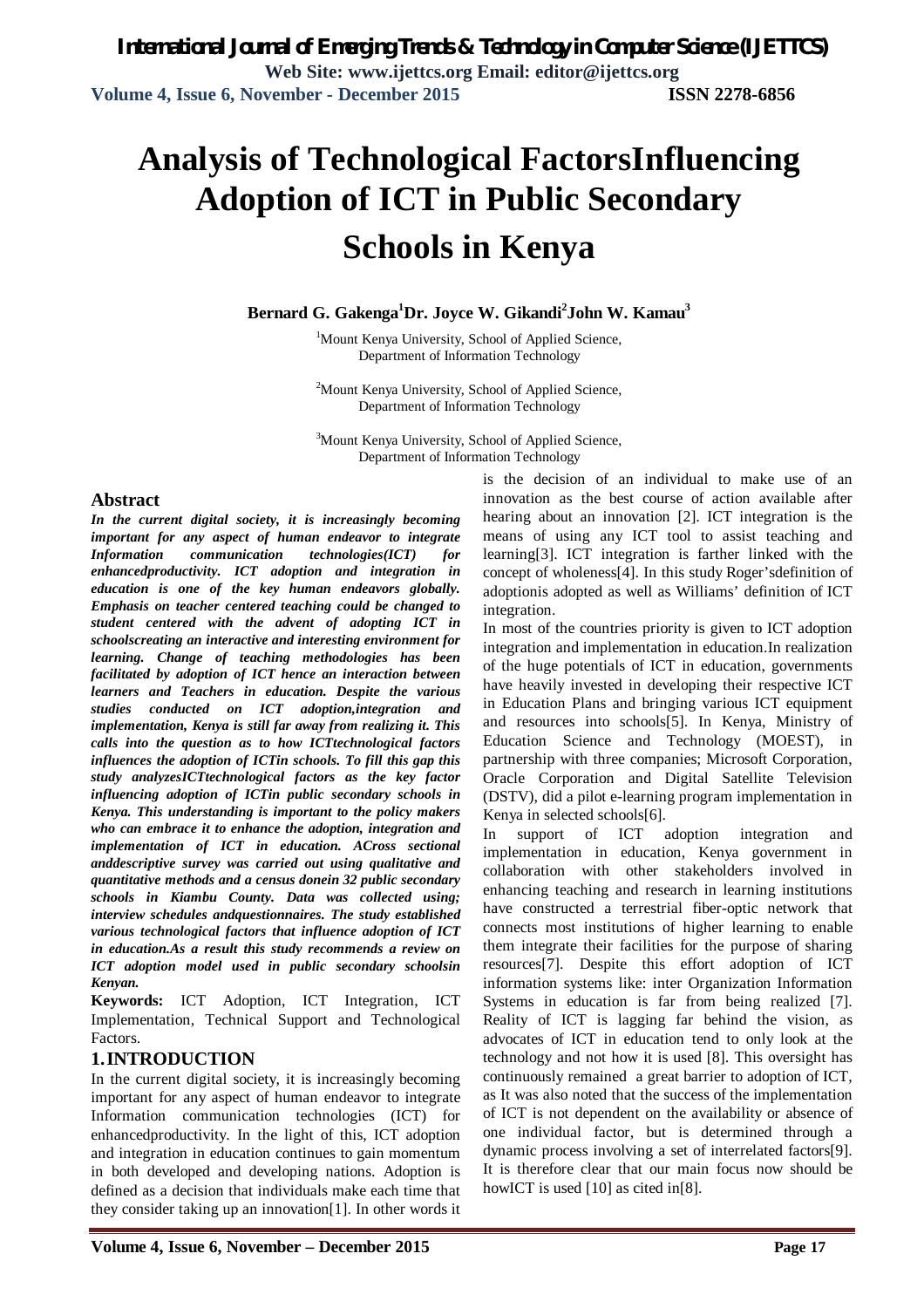# **Analysis of Technological FactorsInfluencing Adoption of ICT in Public Secondary Schools in Kenya**

**Bernard G. Gakenga<sup>1</sup>Dr. Joyce W. Gikandi<sup>2</sup> John W. Kamau<sup>3</sup>**

<sup>1</sup>Mount Kenya University, School of Applied Science, Department of Information Technology

<sup>2</sup>Mount Kenya University, School of Applied Science, Department of Information Technology

<sup>3</sup>Mount Kenya University, School of Applied Science, Department of Information Technology

#### **Abstract**

*In the current digital society, it is increasingly becoming important for any aspect of human endeavor to integrate Information communication technologies(ICT) for enhancedproductivity. ICT adoption and integration in education is one of the key human endeavors globally. Emphasis on teacher centered teaching could be changed to student centered with the advent of adopting ICT in schoolscreating an interactive and interesting environment for learning. Change of teaching methodologies has been facilitated by adoption of ICT hence an interaction between learners and Teachers in education. Despite the various studies conducted on ICT adoption,integration and implementation, Kenya is still far away from realizing it. This calls into the question as to how ICTtechnological factors influences the adoption of ICTin schools. To fill this gap this study analyzesICTtechnological factors as the key factor influencing adoption of ICTin public secondary schools in Kenya. This understanding is important to the policy makers who can embrace it to enhance the adoption, integration and implementation of ICT in education. ACross sectional anddescriptive survey was carried out using qualitative and quantitative methods and a census donein 32 public secondary schools in Kiambu County. Data was collected using; interview schedules andquestionnaires. The study established various technological factors that influence adoption of ICT in education.As a result this study recommends a review on ICT adoption model used in public secondary schoolsin Kenyan.*

**Keywords:** ICT Adoption, ICT Integration, ICT Implementation, Technical Support and Technological Factors.

#### **1.INTRODUCTION**

In the current digital society, it is increasingly becoming important for any aspect of human endeavor to integrate Information communication technologies (ICT) for enhancedproductivity. In the light of this, ICT adoption and integration in education continues to gain momentum in both developed and developing nations. Adoption is defined as a decision that individuals make each time that they consider taking up an innovation[1]. In other words it

is the decision of an individual to make use of an innovation as the best course of action available after hearing about an innovation [2]. ICT integration is the means of using any ICT tool to assist teaching and learning[3]. ICT integration is farther linked with the concept of wholeness[4]. In this study Roger'sdefinition of adoptionis adopted as well as Williams' definition of ICT integration.

In most of the countries priority is given to ICT adoption integration and implementation in education.In realization of the huge potentials of ICT in education, governments have heavily invested in developing their respective ICT in Education Plans and bringing various ICT equipment and resources into schools[5]. In Kenya, Ministry of Education Science and Technology (MOEST), in partnership with three companies; Microsoft Corporation, Oracle Corporation and Digital Satellite Television (DSTV), did a pilot e-learning program implementation in Kenya in selected schools[6].

In support of ICT adoption integration and implementation in education, Kenya government in collaboration with other stakeholders involved in enhancing teaching and research in learning institutions have constructed a terrestrial fiber-optic network that connects most institutions of higher learning to enable them integrate their facilities for the purpose of sharing resources[7]. Despite this effort adoption of ICT information systems like: inter Organization Information Systems in education is far from being realized [7]. Reality of ICT is lagging far behind the vision, as advocates of ICT in education tend to only look at the technology and not how it is used [8]. This oversight has continuously remained a great barrier to adoption of ICT, as It was also noted that the success of the implementation of ICT is not dependent on the availability or absence of one individual factor, but is determined through a dynamic process involving a set of interrelated factors[9]. It is therefore clear that our main focus now should be howICT is used [10] as cited in[8].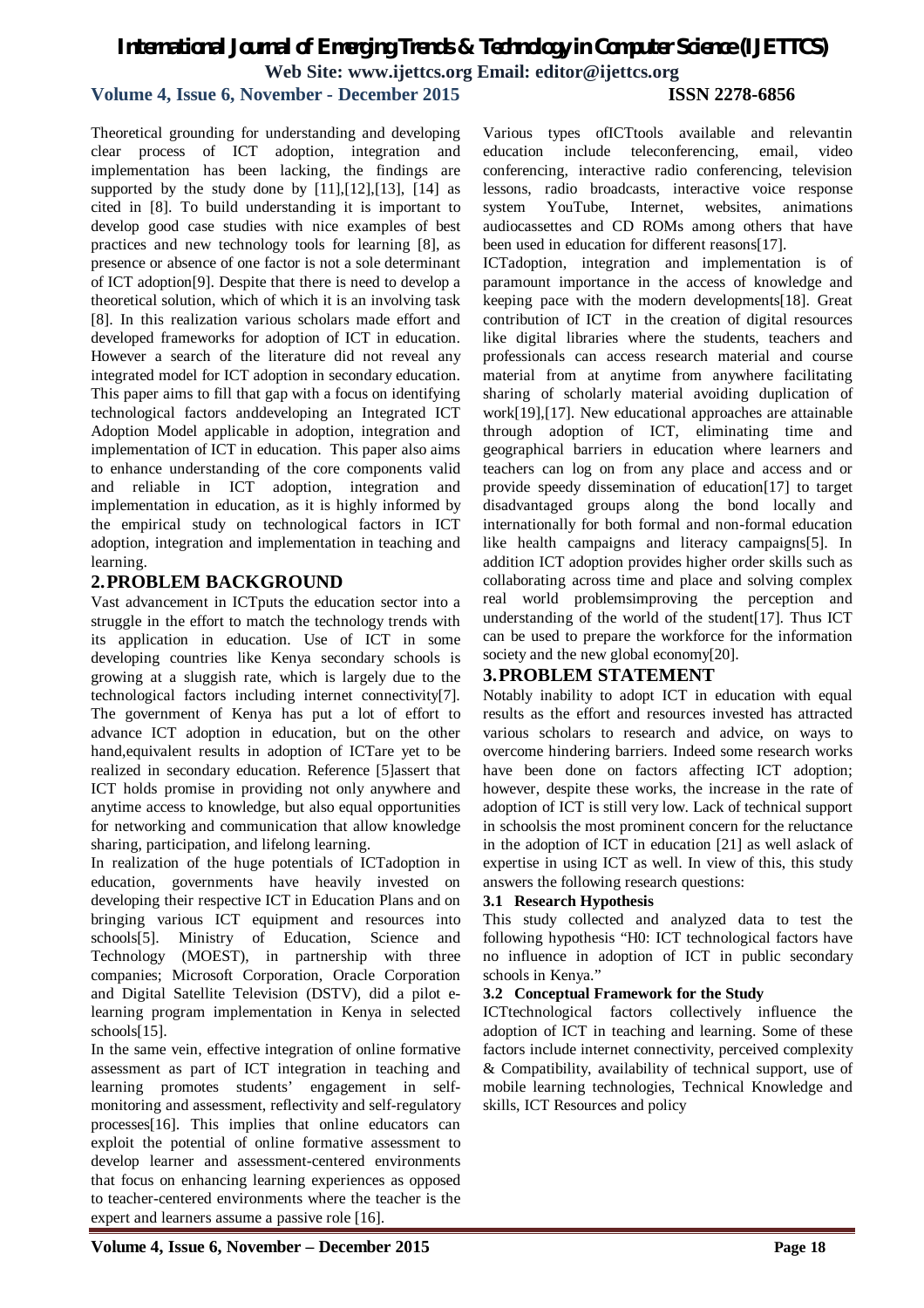## **Volume 4, Issue 6, November - December 2015 ISSN 2278-6856**

Theoretical grounding for understanding and developing clear process of ICT adoption, integration and implementation has been lacking, the findings are supported by the study done by  $[11],[12],[13]$ ,  $[14]$  as cited in [8]. To build understanding it is important to develop good case studies with nice examples of best practices and new technology tools for learning [8], as presence or absence of one factor is not a sole determinant of ICT adoption[9]. Despite that there is need to develop a theoretical solution, which of which it is an involving task [8]. In this realization various scholars made effort and developed frameworks for adoption of ICT in education. However a search of the literature did not reveal any integrated model for ICT adoption in secondary education. This paper aims to fill that gap with a focus on identifying technological factors anddeveloping an Integrated ICT Adoption Model applicable in adoption, integration and implementation of ICT in education. This paper also aims to enhance understanding of the core components valid and reliable in ICT adoption, integration and implementation in education, as it is highly informed by the empirical study on technological factors in ICT adoption, integration and implementation in teaching and learning.

### **2.PROBLEM BACKGROUND**

Vast advancement in ICTputs the education sector into a struggle in the effort to match the technology trends with its application in education. Use of ICT in some developing countries like Kenya secondary schools is growing at a sluggish rate, which is largely due to the technological factors including internet connectivity[7]. The government of Kenya has put a lot of effort to advance ICT adoption in education, but on the other hand,equivalent results in adoption of ICTare yet to be realized in secondary education. Reference [5]assert that ICT holds promise in providing not only anywhere and anytime access to knowledge, but also equal opportunities for networking and communication that allow knowledge sharing, participation, and lifelong learning.

In realization of the huge potentials of ICTadoption in education, governments have heavily invested on developing their respective ICT in Education Plans and on bringing various ICT equipment and resources into schools[5]. Ministry of Education, Science and Technology (MOEST), in partnership with three companies; Microsoft Corporation, Oracle Corporation and Digital Satellite Television (DSTV), did a pilot elearning program implementation in Kenya in selected schools[15].

In the same vein, effective integration of online formative assessment as part of ICT integration in teaching and learning promotes students' engagement in selfmonitoring and assessment, reflectivity and self-regulatory processes[16]. This implies that online educators can exploit the potential of online formative assessment to develop learner and assessment-centered environments that focus on enhancing learning experiences as opposed to teacher-centered environments where the teacher is the expert and learners assume a passive role [16].

Various types ofICTtools available and relevantin education include teleconferencing, email, video conferencing, interactive radio conferencing, television lessons, radio broadcasts, interactive voice response system YouTube, Internet, websites, animations audiocassettes and CD ROMs among others that have

been used in education for different reasons[17]. ICTadoption, integration and implementation is of paramount importance in the access of knowledge and keeping pace with the modern developments[18]. Great contribution of ICT in the creation of digital resources like digital libraries where the students, teachers and professionals can access research material and course material from at anytime from anywhere facilitating sharing of scholarly material avoiding duplication of work[19],[17]. New educational approaches are attainable through adoption of ICT, eliminating time and geographical barriers in education where learners and teachers can log on from any place and access and or provide speedy dissemination of education[17] to target disadvantaged groups along the bond locally and internationally for both formal and non-formal education like health campaigns and literacy campaigns[5]. In addition ICT adoption provides higher order skills such as collaborating across time and place and solving complex real world problemsimproving the perception and understanding of the world of the student[17]. Thus ICT can be used to prepare the workforce for the information society and the new global economy[20].

### **3.PROBLEM STATEMENT**

Notably inability to adopt ICT in education with equal results as the effort and resources invested has attracted various scholars to research and advice, on ways to overcome hindering barriers. Indeed some research works have been done on factors affecting ICT adoption; however, despite these works, the increase in the rate of adoption of ICT is still very low. Lack of technical support in schoolsis the most prominent concern for the reluctance in the adoption of ICT in education [21] as well aslack of expertise in using ICT as well. In view of this, this study answers the following research questions:

#### **3.1 Research Hypothesis**

This study collected and analyzed data to test the following hypothesis "H0: ICT technological factors have no influence in adoption of ICT in public secondary schools in Kenya."

#### **3.2 Conceptual Framework for the Study**

ICTtechnological factors collectively influence the adoption of ICT in teaching and learning. Some of these factors include internet connectivity, perceived complexity & Compatibility, availability of technical support, use of mobile learning technologies, Technical Knowledge and skills, ICT Resources and policy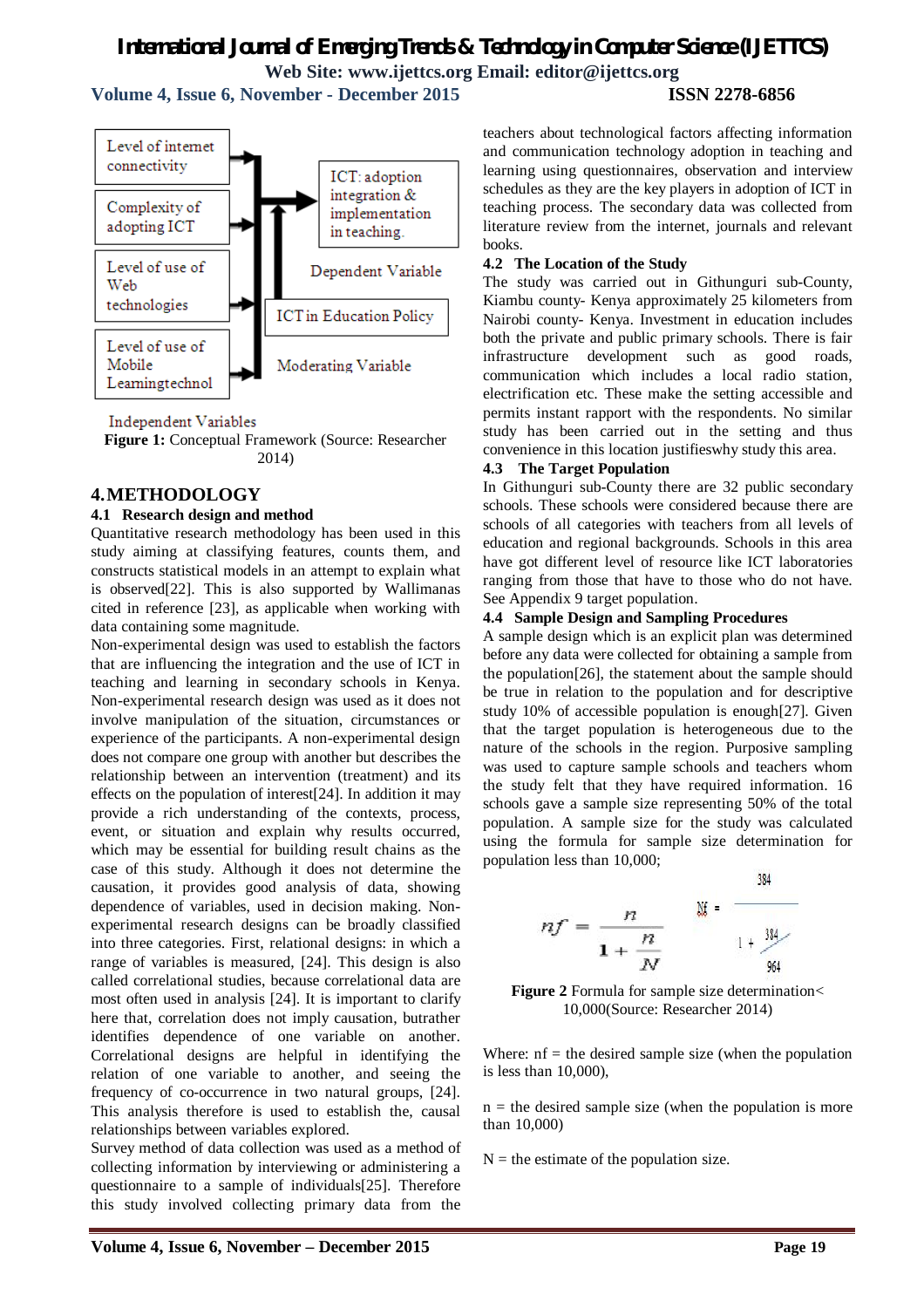**Volume 4, Issue 6, November - December 2015 ISSN 2278-6856**

#### Level of internet connectivity ICT: adoption integration & Complexity of implementation adopting ICT in teaching. Level of use of Dependent Variable Web technologies **ICT** in Education Policy Level of use of Mobile Moderating Variable Learningtechnol

Independent Variables

**Figure 1:** Conceptual Framework (Source: Researcher 2014)

## **4.METHODOLOGY**

#### **4.1 Research design and method**

Quantitative research methodology has been used in this study aiming at classifying features, counts them, and constructs statistical models in an attempt to explain what is observed[22]. This is also supported by Wallimanas cited in reference [23], as applicable when working with data containing some magnitude.

Non-experimental design was used to establish the factors that are influencing the integration and the use of ICT in teaching and learning in secondary schools in Kenya. Non-experimental research design was used as it does not involve manipulation of the situation, circumstances or experience of the participants. A non-experimental design does not compare one group with another but describes the relationship between an intervention (treatment) and its effects on the population of interest[24]. In addition it may provide a rich understanding of the contexts, process, event, or situation and explain why results occurred, which may be essential for building result chains as the case of this study. Although it does not determine the causation, it provides good analysis of data, showing dependence of variables, used in decision making. Nonexperimental research designs can be broadly classified into three categories. First, relational designs: in which a range of variables is measured, [24]. This design is also called correlational studies, because correlational data are most often used in analysis [24]. It is important to clarify here that, correlation does not imply causation, butrather identifies dependence of one variable on another. Correlational designs are helpful in identifying the relation of one variable to another, and seeing the frequency of co-occurrence in two natural groups, [24]. This analysis therefore is used to establish the, causal relationships between variables explored.

Survey method of data collection was used as a method of collecting information by interviewing or administering a questionnaire to a sample of individuals[25]. Therefore this study involved collecting primary data from the

teachers about technological factors affecting information and communication technology adoption in teaching and learning using questionnaires, observation and interview schedules as they are the key players in adoption of ICT in teaching process. The secondary data was collected from literature review from the internet, journals and relevant books.

#### **4.2 The Location of the Study**

The study was carried out in Githunguri sub-County, Kiambu county- Kenya approximately 25 kilometers from Nairobi county- Kenya. Investment in education includes both the private and public primary schools. There is fair infrastructure development such as good roads, communication which includes a local radio station, electrification etc. These make the setting accessible and permits instant rapport with the respondents. No similar study has been carried out in the setting and thus convenience in this location justifieswhy study this area.

#### **4.3 The Target Population**

In Githunguri sub-County there are 32 public secondary schools. These schools were considered because there are schools of all categories with teachers from all levels of education and regional backgrounds. Schools in this area have got different level of resource like ICT laboratories ranging from those that have to those who do not have. See Appendix 9 target population.

#### **4.4 Sample Design and Sampling Procedures**

A sample design which is an explicit plan was determined before any data were collected for obtaining a sample from the population[26], the statement about the sample should be true in relation to the population and for descriptive study 10% of accessible population is enough[27]. Given that the target population is heterogeneous due to the nature of the schools in the region. Purposive sampling was used to capture sample schools and teachers whom the study felt that they have required information. 16 schools gave a sample size representing 50% of the total population. A sample size for the study was calculated using the formula for sample size determination for population less than 10,000;  $301$ 

$$
nf = \frac{n}{1 + \frac{n}{N}} \qquad \frac{M}{1 + \frac{384}{964}}
$$

**Figure 2** Formula for sample size determination< 10,000(Source: Researcher 2014)

Where:  $nf = the desired sample size$  (when the population is less than 10,000),

 $n =$  the desired sample size (when the population is more than 10,000)

 $N =$  the estimate of the population size.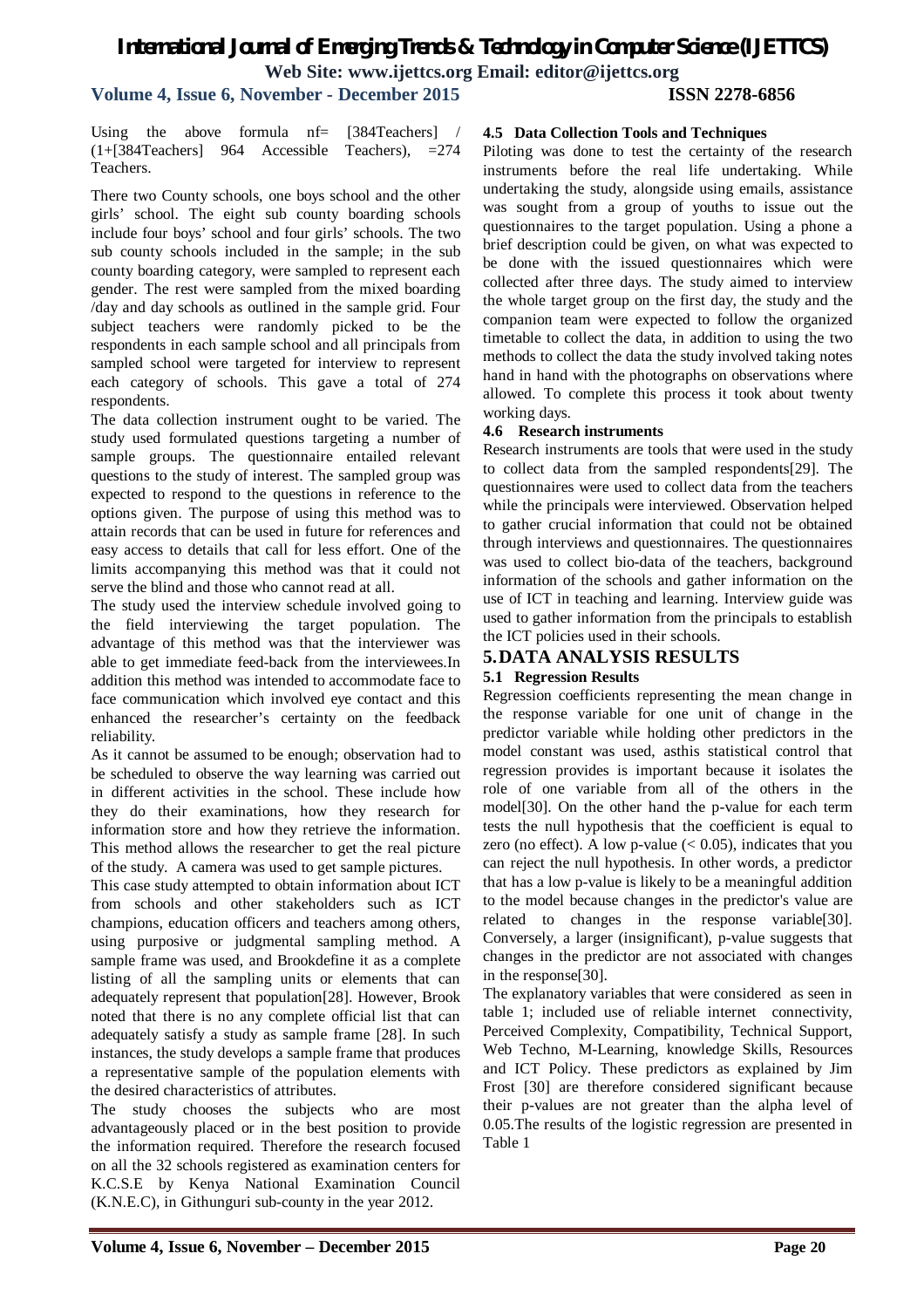**Volume 4, Issue 6, November - December 2015 ISSN 2278-6856**

Using the above formula  $nf = [384Teaches]$ (1+[384Teachers] 964 Accessible Teachers), =274 Teachers.

There two County schools, one boys school and the other girls' school. The eight sub county boarding schools include four boys' school and four girls' schools. The two sub county schools included in the sample; in the sub county boarding category, were sampled to represent each gender. The rest were sampled from the mixed boarding /day and day schools as outlined in the sample grid. Four subject teachers were randomly picked to be the respondents in each sample school and all principals from sampled school were targeted for interview to represent each category of schools. This gave a total of 274 respondents.

The data collection instrument ought to be varied. The study used formulated questions targeting a number of sample groups. The questionnaire entailed relevant questions to the study of interest. The sampled group was expected to respond to the questions in reference to the options given. The purpose of using this method was to attain records that can be used in future for references and easy access to details that call for less effort. One of the limits accompanying this method was that it could not serve the blind and those who cannot read at all.

The study used the interview schedule involved going to the field interviewing the target population. The advantage of this method was that the interviewer was able to get immediate feed-back from the interviewees.In addition this method was intended to accommodate face to face communication which involved eye contact and this enhanced the researcher's certainty on the feedback reliability.

As it cannot be assumed to be enough; observation had to be scheduled to observe the way learning was carried out in different activities in the school. These include how they do their examinations, how they research for information store and how they retrieve the information. This method allows the researcher to get the real picture of the study. A camera was used to get sample pictures.

This case study attempted to obtain information about ICT from schools and other stakeholders such as ICT champions, education officers and teachers among others, using purposive or judgmental sampling method. A sample frame was used, and Brookdefine it as a complete listing of all the sampling units or elements that can adequately represent that population[28]. However, Brook noted that there is no any complete official list that can adequately satisfy a study as sample frame [28]. In such instances, the study develops a sample frame that produces a representative sample of the population elements with the desired characteristics of attributes.

The study chooses the subjects who are most advantageously placed or in the best position to provide the information required. Therefore the research focused on all the 32 schools registered as examination centers for K.C.S.E by Kenya National Examination Council (K.N.E.C), in Githunguri sub-county in the year 2012.

#### **4.5 Data Collection Tools and Techniques**

Piloting was done to test the certainty of the research instruments before the real life undertaking. While undertaking the study, alongside using emails, assistance was sought from a group of youths to issue out the questionnaires to the target population. Using a phone a brief description could be given, on what was expected to be done with the issued questionnaires which were collected after three days. The study aimed to interview the whole target group on the first day, the study and the companion team were expected to follow the organized timetable to collect the data, in addition to using the two methods to collect the data the study involved taking notes hand in hand with the photographs on observations where allowed. To complete this process it took about twenty working days.

#### **4.6 Research instruments**

Research instruments are tools that were used in the study to collect data from the sampled respondents[29]. The questionnaires were used to collect data from the teachers while the principals were interviewed. Observation helped to gather crucial information that could not be obtained through interviews and questionnaires. The questionnaires was used to collect bio-data of the teachers, background information of the schools and gather information on the use of ICT in teaching and learning. Interview guide was used to gather information from the principals to establish the ICT policies used in their schools.

### **5.DATA ANALYSIS RESULTS**

#### **5.1 Regression Results**

Regression coefficients representing the mean change in the response variable for one unit of change in the predictor variable while holding other predictors in the model constant was used, asthis statistical control that regression provides is important because it isolates the role of one variable from all of the others in the model[30]. On the other hand the p-value for each term tests the null hypothesis that the coefficient is equal to zero (no effect). A low p-value  $(< 0.05)$ , indicates that you can reject the null hypothesis. In other words, a predictor that has a low p-value is likely to be a meaningful addition to the model because changes in the predictor's value are related to changes in the response variable[30]. Conversely, a larger (insignificant), p-value suggests that changes in the predictor are not associated with changes in the response[30].

The explanatory variables that were considered as seen in table 1; included use of reliable internet connectivity, Perceived Complexity, Compatibility, Technical Support, Web Techno, M-Learning, knowledge Skills, Resources and ICT Policy. These predictors as explained by Jim Frost [30] are therefore considered significant because their p-values are not greater than the alpha level of 0.05.The results of the logistic regression are presented in Table 1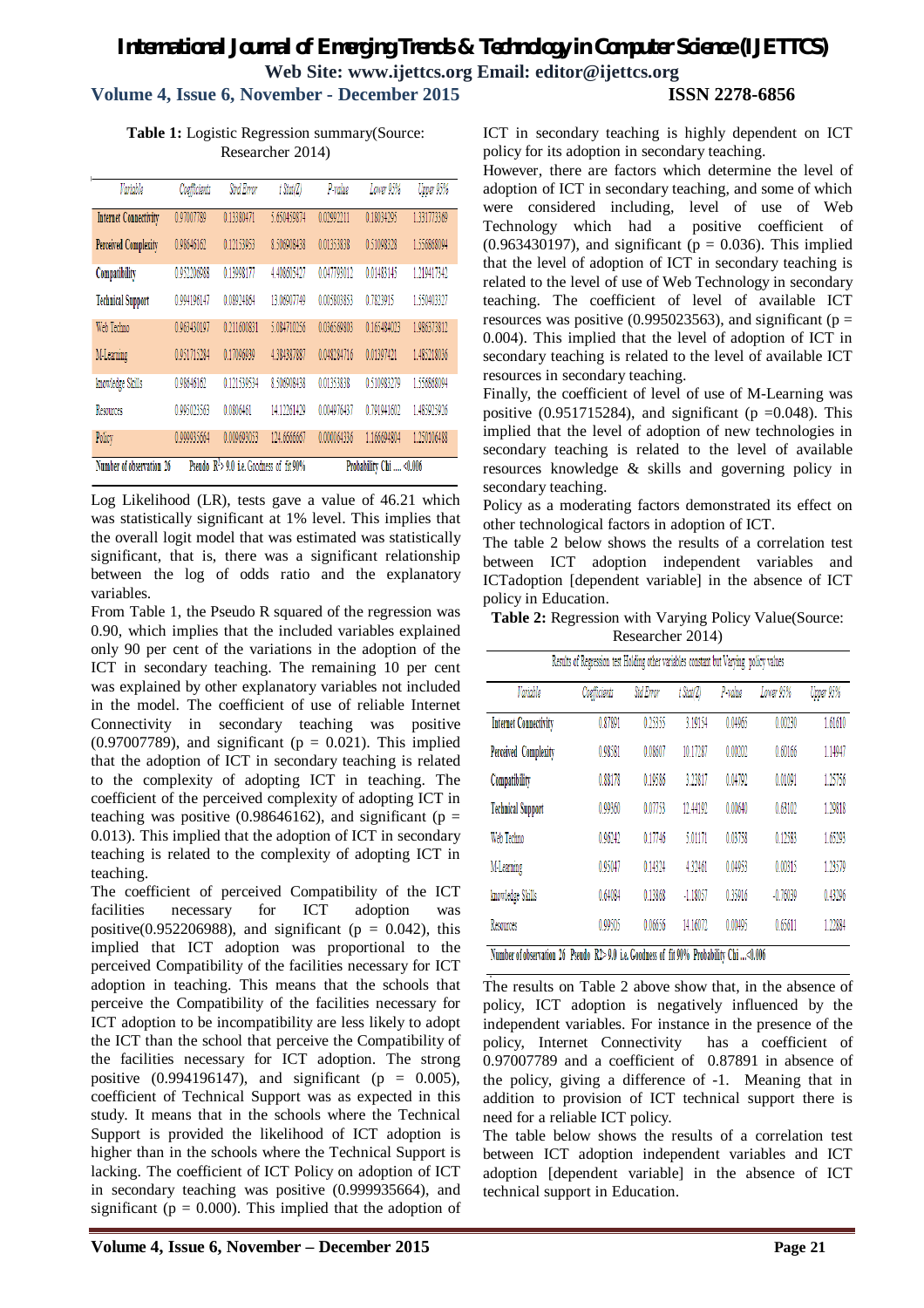**Table 1:** Logistic Regression summary(Source: Researcher 2014)

| Variable                     | Coefficients | Strd Error                                         | $t$ Stat $(Z)$ | P-value     | Lower 95%                | Upper 95%   |  |  |
|------------------------------|--------------|----------------------------------------------------|----------------|-------------|--------------------------|-------------|--|--|
| <b>Internet Connectivity</b> | 0.97007789   | 0.13380471                                         | 5.650459874    | 0.02992211  | 0.18034295               | 1.331773369 |  |  |
| <b>Perceived Complexity</b>  | 0.98646162   | 0.12153953                                         | 8.506908438    | 0.01353838  | 0.51098328               | 1.556868094 |  |  |
| Compatibility                | 0.952206988  | 0.13998177                                         | 4.408605427    | 0.047793012 | 0.01483145               | 1.219417342 |  |  |
| <b>Technical Support</b>     | 0.994196147  | 0.08924864                                         | 13.06907749    | 0.005803853 | 0.7823915                | 1.550403327 |  |  |
| Web Techno                   | 0.963430197  | 0.211600831                                        | 5.084710256    | 0.036569803 | 0.165484023              | 1.986373812 |  |  |
| M-Learning                   | 0.951715284  | 0.17096939                                         | 4.384387887    | 0.048284716 | 0.01397421               | 1.485218036 |  |  |
| knowledge Skills             | 0.98646162   | 0.121539534                                        | 8.506908438    | 0.01353838  | 0.510983279              | 1.556868094 |  |  |
| Resources                    | 0.995023563  | 0.0806461                                          | 14.12261429    | 0.004976437 | 0.791941602              | 1.485925926 |  |  |
| Policy                       | 0.999935664  | 0.009693053                                        | 124.6666667    | 0.000064336 | 1.166694804              | 1.250106488 |  |  |
| Number of observation 26     |              | <b>Pseudo</b> $R^2 > 9.0$ i.e. Goodness of fit 90% |                |             | Probability Chi  < 0.006 |             |  |  |

Log Likelihood (LR), tests gave a value of 46.21 which was statistically significant at 1% level. This implies that the overall logit model that was estimated was statistically significant, that is, there was a significant relationship between the log of odds ratio and the explanatory variables.

From Table 1, the Pseudo R squared of the regression was 0.90, which implies that the included variables explained only 90 per cent of the variations in the adoption of the ICT in secondary teaching. The remaining 10 per cent was explained by other explanatory variables not included in the model. The coefficient of use of reliable Internet Connectivity in secondary teaching was positive (0.97007789), and significant ( $p = 0.021$ ). This implied that the adoption of ICT in secondary teaching is related to the complexity of adopting ICT in teaching. The coefficient of the perceived complexity of adopting ICT in teaching was positive (0.98646162), and significant ( $p =$ 0.013). This implied that the adoption of ICT in secondary teaching is related to the complexity of adopting ICT in teaching.

The coefficient of perceived Compatibility of the ICT facilities necessary for ICT adoption was positive(0.952206988), and significant ( $p = 0.042$ ), this implied that ICT adoption was proportional to the perceived Compatibility of the facilities necessary for ICT adoption in teaching. This means that the schools that perceive the Compatibility of the facilities necessary for ICT adoption to be incompatibility are less likely to adopt the ICT than the school that perceive the Compatibility of the facilities necessary for ICT adoption. The strong positive  $(0.994196147)$ , and significant  $(p = 0.005)$ , coefficient of Technical Support was as expected in this study. It means that in the schools where the Technical Support is provided the likelihood of ICT adoption is higher than in the schools where the Technical Support is lacking. The coefficient of ICT Policy on adoption of ICT in secondary teaching was positive (0.999935664), and significant ( $p = 0.000$ ). This implied that the adoption of ICT in secondary teaching is highly dependent on ICT policy for its adoption in secondary teaching.

However, there are factors which determine the level of adoption of ICT in secondary teaching, and some of which were considered including, level of use of Web Technology which had a positive coefficient of (0.963430197), and significant ( $p = 0.036$ ). This implied that the level of adoption of ICT in secondary teaching is related to the level of use of Web Technology in secondary teaching. The coefficient of level of available ICT resources was positive (0.995023563), and significant ( $p =$ 0.004). This implied that the level of adoption of ICT in secondary teaching is related to the level of available ICT resources in secondary teaching.

Finally, the coefficient of level of use of M-Learning was positive (0.951715284), and significant ( $p = 0.048$ ). This implied that the level of adoption of new technologies in secondary teaching is related to the level of available resources knowledge & skills and governing policy in secondary teaching.

Policy as a moderating factors demonstrated its effect on other technological factors in adoption of ICT.

The table 2 below shows the results of a correlation test between ICT adoption independent variables and ICTadoption [dependent variable] in the absence of ICT policy in Education.

**Table 2:** Regression with Varying Policy Value(Source: Researcher 2014)

| Coefficients<br>0.87891 | Sid Error<br>0.25355 | $t$ Stat $(Z)$ | P-value                                                                            | Lower 95%  | Upper 95% |
|-------------------------|----------------------|----------------|------------------------------------------------------------------------------------|------------|-----------|
|                         |                      |                |                                                                                    |            |           |
|                         |                      | 3.19154        | 0.04965                                                                            | 0.00230    | 1.61610   |
| 0.98581                 | 0.08607              | 10.17287       | 0.00202                                                                            | 0.60166    | 1.14947   |
| 0.88178                 | 0.19586              | 3.23817        | 0.04792                                                                            | 0.01091    | 1.25756   |
| 0.99360                 | 0.07753              | 12.44192       | 0.00640                                                                            | 0.63102    | 1.29818   |
| 0.96242                 | 0.17746              | 5.01171        | 0.03758                                                                            | 0.12583    | 1.65293   |
| 0.95047                 | 0.14324              | 4.32461        | 0.04953                                                                            | 0.00315    | 1.23579   |
| 0.64084                 | 0.13868              | $-1.18057$     | 035916                                                                             | $-0.76039$ | 0.43296   |
| 0.99505                 | 0.06656              | 14.16072       | 0.00495                                                                            | 0.65611    | 1.22884   |
|                         |                      |                | Number of observation 26. Deands, R2>00 i.e. Coodness of fit 00%. Deabability Chi. |            | -0.006    |

Number of observation 26 Pseudo R2> 9.0 i.e. Goodness of fit 90% Probability Chi...<0.006

The results on Table 2 above show that, in the absence of policy, ICT adoption is negatively influenced by the independent variables. For instance in the presence of the policy, Internet Connectivity has a coefficient of 0.97007789 and a coefficient of 0.87891 in absence of the policy, giving a difference of -1. Meaning that in addition to provision of ICT technical support there is need for a reliable ICT policy.

The table below shows the results of a correlation test between ICT adoption independent variables and ICT adoption [dependent variable] in the absence of ICT technical support in Education.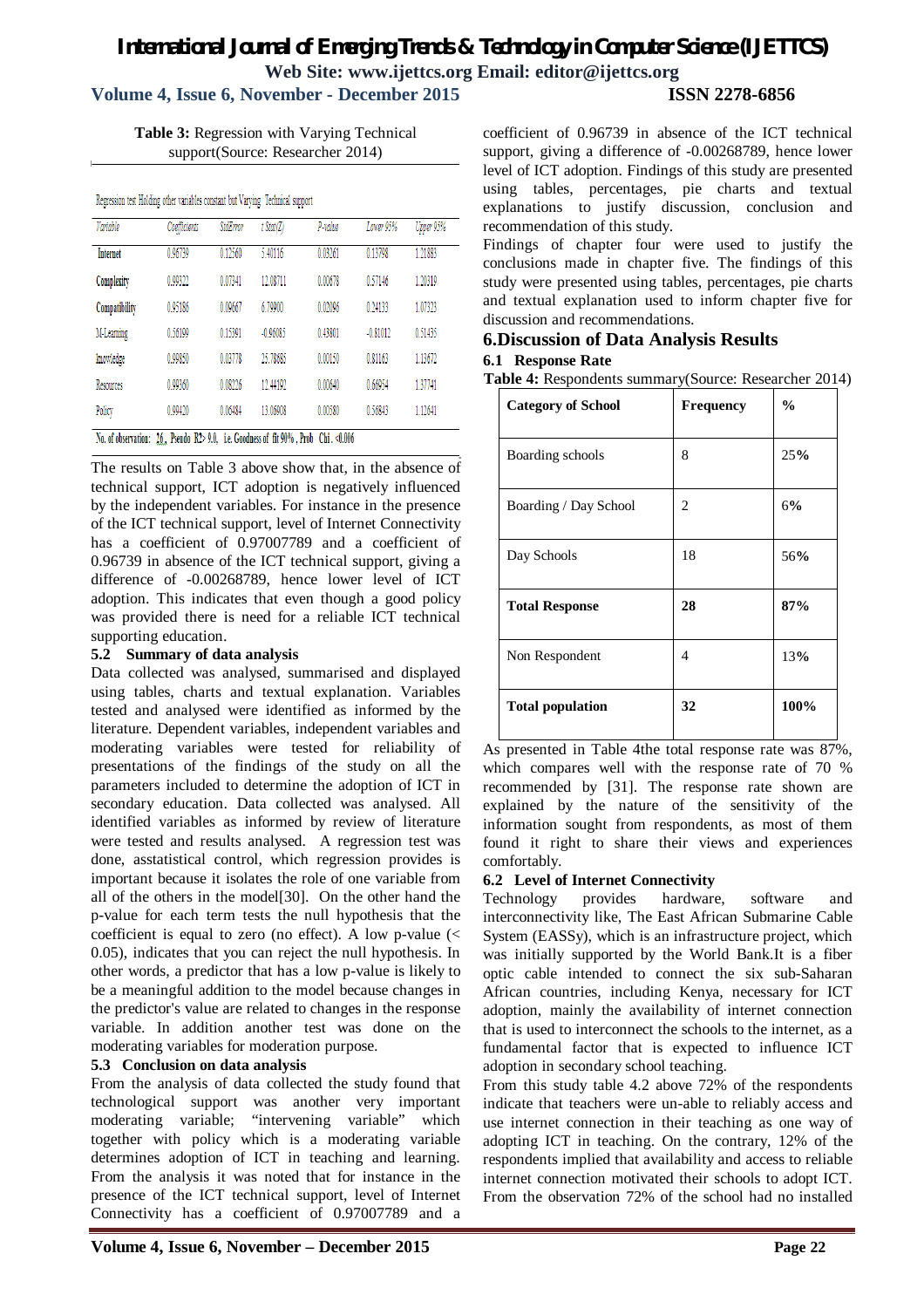**Table 3:** Regression with Varying Technical support(Source: Researcher 2014)

Regression test Holding other variables constant but Varying Technical support

| Variable      | Coefficients                                                                      | StdError | $t$ Stat $(Z)$ | P-value | Lower 95%  | Upper 95% |
|---------------|-----------------------------------------------------------------------------------|----------|----------------|---------|------------|-----------|
| Internet      | 0.96739                                                                           | 0.12560  | 5.40116        | 0.03261 | 0.13798    | 1.21883   |
| Complexity    | 0.99322                                                                           | 0.07341  | 12.08711       | 0.00678 | 0.57146    | 1.20319   |
| Compatibility | 0.95186                                                                           | 0.09667  | 6.79900        | 0.02096 | 0.24133    | 1.07323   |
| M-Learning    | 0.56199                                                                           | 0.15391  | $-0.96085$     | 0.43801 | $-0.81012$ | 0.51435   |
| knowledge     | 0.99850                                                                           | 0.03778  | 25.78685       | 0.00150 | 0.81163    | 1.13672   |
| Resources     | 0.99360                                                                           | 0.08226  | 12.44192       | 0.00640 | 0.66954    | 1.37741   |
| Policy        | 0.99420                                                                           | 0.06484  | 13.06908       | 0.00580 | 0.56843    | 1.12641   |
|               | No. of observation: 26, Pseudo R2>9.0, i.e. Goodness of fit 90%, Prob Chi. <0.006 |          |                |         |            |           |

The results on Table 3 above show that, in the absence of technical support, ICT adoption is negatively influenced by the independent variables. For instance in the presence of the ICT technical support, level of Internet Connectivity has a coefficient of 0.97007789 and a coefficient of 0.96739 in absence of the ICT technical support, giving a difference of -0.00268789, hence lower level of ICT adoption. This indicates that even though a good policy was provided there is need for a reliable ICT technical supporting education.

#### **5.2 Summary of data analysis**

Data collected was analysed, summarised and displayed using tables, charts and textual explanation. Variables tested and analysed were identified as informed by the literature. Dependent variables, independent variables and moderating variables were tested for reliability of presentations of the findings of the study on all the parameters included to determine the adoption of ICT in secondary education. Data collected was analysed. All identified variables as informed by review of literature were tested and results analysed. A regression test was done, asstatistical control, which regression provides is important because it isolates the role of one variable from all of the others in the model[30]. On the other hand the p-value for each term tests the null hypothesis that the coefficient is equal to zero (no effect). A low p-value (< 0.05), indicates that you can reject the null hypothesis. In other words, a predictor that has a low p-value is likely to be a meaningful addition to the model because changes in the predictor's value are related to changes in the response variable. In addition another test was done on the moderating variables for moderation purpose.

#### **5.3 Conclusion on data analysis**

From the analysis of data collected the study found that technological support was another very important moderating variable; "intervening variable" which together with policy which is a moderating variable determines adoption of ICT in teaching and learning. From the analysis it was noted that for instance in the presence of the ICT technical support, level of Internet Connectivity has a coefficient of 0.97007789 and a

**Volume 4, Issue 6, November – December 2015 Page 22**

coefficient of 0.96739 in absence of the ICT technical support, giving a difference of -0.00268789, hence lower level of ICT adoption. Findings of this study are presented using tables, percentages, pie charts and textual explanations to justify discussion, conclusion and recommendation of this study.

Findings of chapter four were used to justify the conclusions made in chapter five. The findings of this study were presented using tables, percentages, pie charts and textual explanation used to inform chapter five for discussion and recommendations.

## **6.Discussion of Data Analysis Results**

#### **6.1 Response Rate**

**Table 4:** Respondents summary(Source: Researcher 2014)

| <b>Category of School</b> | Frequency | $\frac{0}{0}$ |
|---------------------------|-----------|---------------|
| Boarding schools          | 8         | 25%           |
| Boarding / Day School     | 2         | 6%            |
| Day Schools               | 18        | 56%           |
| <b>Total Response</b>     | 28        | 87%           |
| Non Respondent            | 4         | 13%           |
| <b>Total population</b>   | 32        | 100%          |

As presented in Table 4the total response rate was 87%, which compares well with the response rate of 70 % recommended by [31]. The response rate shown are explained by the nature of the sensitivity of the information sought from respondents, as most of them found it right to share their views and experiences comfortably.

#### **6.2 Level of Internet Connectivity**

Technology provides hardware, software and interconnectivity like, The East African Submarine Cable System (EASSy), which is an infrastructure project, which was initially supported by the World Bank.It is a fiber optic cable intended to connect the six sub-Saharan African countries, including Kenya, necessary for ICT adoption, mainly the availability of internet connection that is used to interconnect the schools to the internet, as a fundamental factor that is expected to influence ICT adoption in secondary school teaching.

From this study table 4.2 above 72% of the respondents indicate that teachers were un-able to reliably access and use internet connection in their teaching as one way of adopting ICT in teaching. On the contrary, 12% of the respondents implied that availability and access to reliable internet connection motivated their schools to adopt ICT. From the observation 72% of the school had no installed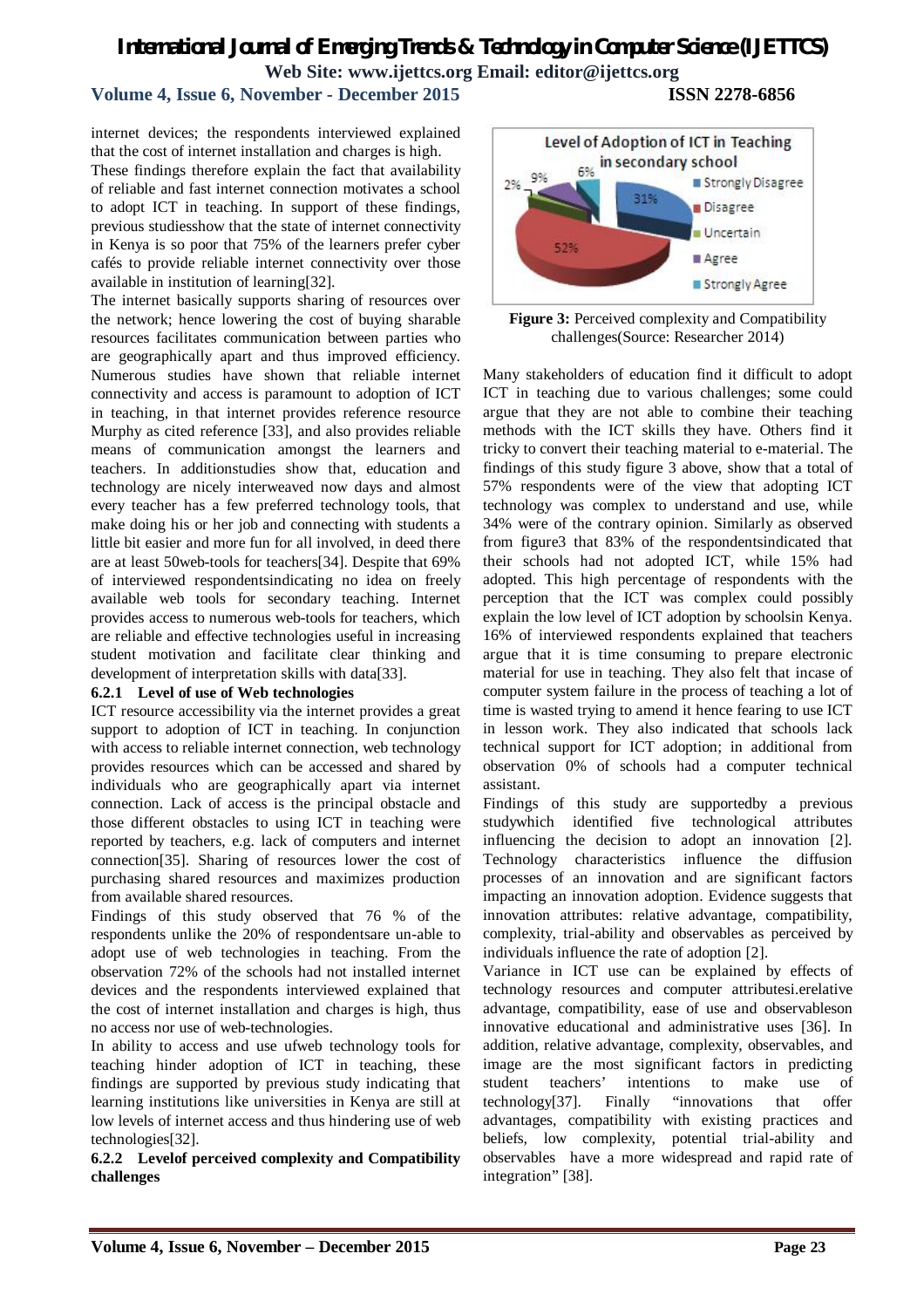internet devices; the respondents interviewed explained that the cost of internet installation and charges is high.

These findings therefore explain the fact that availability of reliable and fast internet connection motivates a school to adopt ICT in teaching. In support of these findings, previous studiesshow that the state of internet connectivity in Kenya is so poor that 75% of the learners prefer cyber cafés to provide reliable internet connectivity over those available in institution of learning[32].

The internet basically supports sharing of resources over the network; hence lowering the cost of buying sharable resources facilitates communication between parties who are geographically apart and thus improved efficiency. Numerous studies have shown that reliable internet connectivity and access is paramount to adoption of ICT in teaching, in that internet provides reference resource Murphy as cited reference [33], and also provides reliable means of communication amongst the learners and teachers. In additionstudies show that, education and technology are nicely interweaved now days and almost every teacher has a few preferred technology tools, that make doing his or her job and connecting with students a little bit easier and more fun for all involved, in deed there are at least 50web-tools for teachers[34]. Despite that 69% of interviewed respondentsindicating no idea on freely available web tools for secondary teaching. Internet provides access to numerous web-tools for teachers, which are reliable and effective technologies useful in increasing student motivation and facilitate clear thinking and development of interpretation skills with data[33].

#### **6.2.1 Level of use of Web technologies**

ICT resource accessibility via the internet provides a great support to adoption of ICT in teaching. In conjunction with access to reliable internet connection, web technology provides resources which can be accessed and shared by individuals who are geographically apart via internet connection. Lack of access is the principal obstacle and those different obstacles to using ICT in teaching were reported by teachers, e.g. lack of computers and internet connection[35]. Sharing of resources lower the cost of purchasing shared resources and maximizes production from available shared resources.

Findings of this study observed that 76 % of the respondents unlike the 20% of respondentsare un-able to adopt use of web technologies in teaching. From the observation 72% of the schools had not installed internet devices and the respondents interviewed explained that the cost of internet installation and charges is high, thus no access nor use of web-technologies.

In ability to access and use ufweb technology tools for teaching hinder adoption of ICT in teaching, these findings are supported by previous study indicating that learning institutions like universities in Kenya are still at low levels of internet access and thus hindering use of web technologies[32].

#### **6.2.2 Levelof perceived complexity and Compatibility challenges**



**Figure 3:** Perceived complexity and Compatibility challenges(Source: Researcher 2014)

Many stakeholders of education find it difficult to adopt ICT in teaching due to various challenges; some could argue that they are not able to combine their teaching methods with the ICT skills they have. Others find it tricky to convert their teaching material to e-material. The findings of this study figure 3 above, show that a total of 57% respondents were of the view that adopting ICT technology was complex to understand and use, while 34% were of the contrary opinion. Similarly as observed from figure3 that 83% of the respondentsindicated that their schools had not adopted ICT, while 15% had adopted. This high percentage of respondents with the perception that the ICT was complex could possibly explain the low level of ICT adoption by schoolsin Kenya. 16% of interviewed respondents explained that teachers argue that it is time consuming to prepare electronic material for use in teaching. They also felt that incase of computer system failure in the process of teaching a lot of time is wasted trying to amend it hence fearing to use ICT in lesson work. They also indicated that schools lack technical support for ICT adoption; in additional from observation 0% of schools had a computer technical assistant.

Findings of this study are supportedby a previous studywhich identified five technological attributes influencing the decision to adopt an innovation [2]. Technology characteristics influence the diffusion processes of an innovation and are significant factors impacting an innovation adoption. Evidence suggests that innovation attributes: relative advantage, compatibility, complexity, trial-ability and observables as perceived by individuals influence the rate of adoption [2].

Variance in ICT use can be explained by effects of technology resources and computer attributesi.erelative advantage, compatibility, ease of use and observableson innovative educational and administrative uses [36]. In addition, relative advantage, complexity, observables, and image are the most significant factors in predicting student teachers' intentions to make use of technology[37]. Finally "innovations that offer advantages, compatibility with existing practices and beliefs, low complexity, potential trial-ability and observables have a more widespread and rapid rate of integration" [38].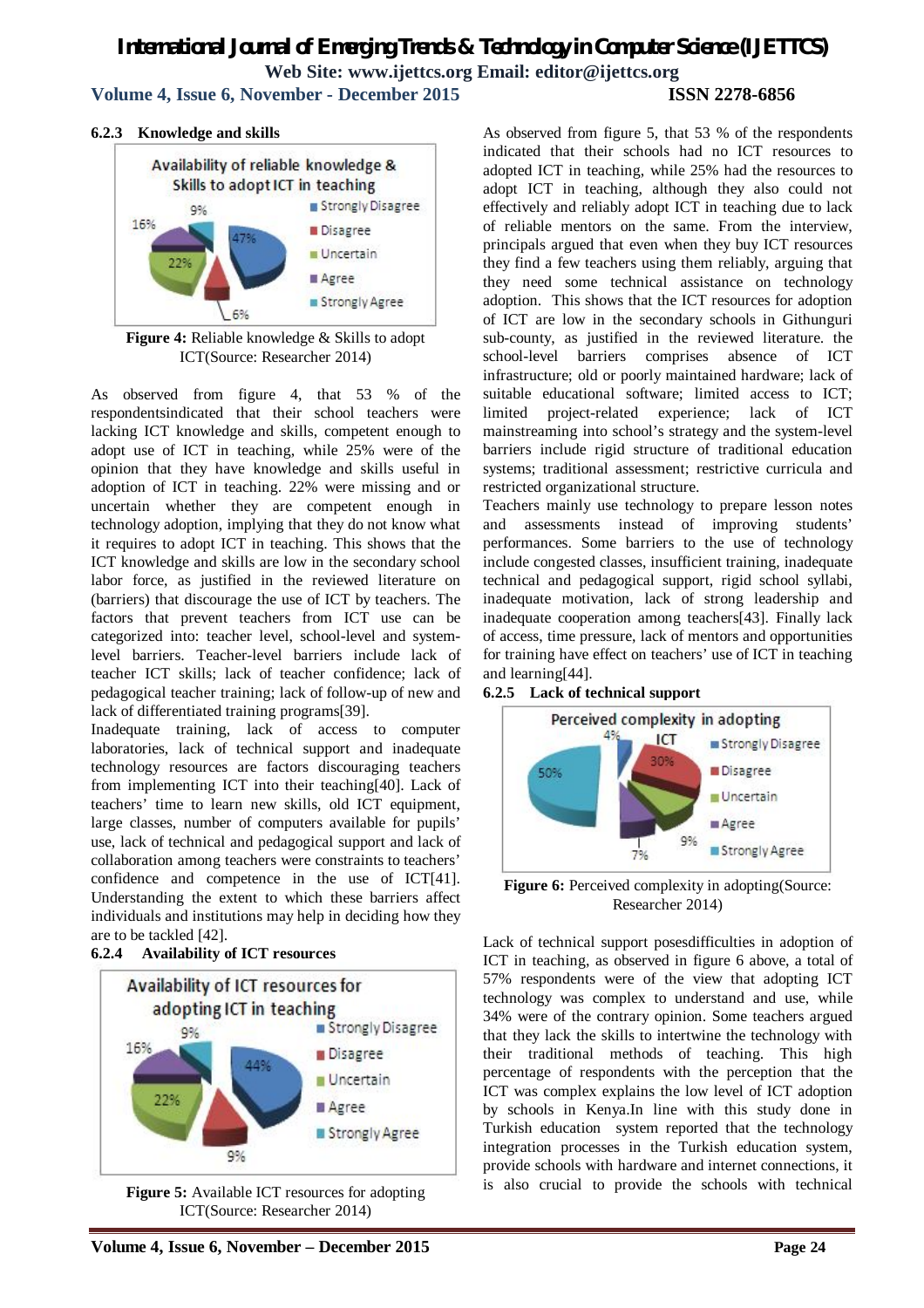## **Volume 4, Issue 6, November - December 2015 ISSN 2278-6856**

#### **6.2.3 Knowledge and skills**



**Figure 4:** Reliable knowledge & Skills to adopt ICT(Source: Researcher 2014)

As observed from figure 4, that 53 % of the respondentsindicated that their school teachers were lacking ICT knowledge and skills, competent enough to adopt use of ICT in teaching, while 25% were of the opinion that they have knowledge and skills useful in adoption of ICT in teaching. 22% were missing and or uncertain whether they are competent enough in technology adoption, implying that they do not know what it requires to adopt ICT in teaching. This shows that the ICT knowledge and skills are low in the secondary school labor force, as justified in the reviewed literature on (barriers) that discourage the use of ICT by teachers. The factors that prevent teachers from ICT use can be categorized into: teacher level, school-level and systemlevel barriers. Teacher-level barriers include lack of teacher ICT skills; lack of teacher confidence; lack of pedagogical teacher training; lack of follow-up of new and lack of differentiated training programs[39].

Inadequate training, lack of access to computer laboratories, lack of technical support and inadequate technology resources are factors discouraging teachers from implementing ICT into their teaching[40]. Lack of teachers' time to learn new skills, old ICT equipment, large classes, number of computers available for pupils' use, lack of technical and pedagogical support and lack of collaboration among teachers were constraints to teachers' confidence and competence in the use of ICT[41]. Understanding the extent to which these barriers affect individuals and institutions may help in deciding how they are to be tackled [42].



**Figure 5:** Available ICT resources for adopting ICT(Source: Researcher 2014)

As observed from figure 5, that 53 % of the respondents indicated that their schools had no ICT resources to adopted ICT in teaching, while 25% had the resources to adopt ICT in teaching, although they also could not effectively and reliably adopt ICT in teaching due to lack of reliable mentors on the same. From the interview, principals argued that even when they buy ICT resources they find a few teachers using them reliably, arguing that they need some technical assistance on technology adoption. This shows that the ICT resources for adoption of ICT are low in the secondary schools in Githunguri sub-county, as justified in the reviewed literature. the school-level barriers comprises absence of ICT infrastructure; old or poorly maintained hardware; lack of suitable educational software; limited access to ICT; limited project-related experience; lack of ICT mainstreaming into school's strategy and the system-level barriers include rigid structure of traditional education systems; traditional assessment; restrictive curricula and restricted organizational structure.

Teachers mainly use technology to prepare lesson notes and assessments instead of improving students' performances. Some barriers to the use of technology include congested classes, insufficient training, inadequate technical and pedagogical support, rigid school syllabi, inadequate motivation, lack of strong leadership and inadequate cooperation among teachers[43]. Finally lack of access, time pressure, lack of mentors and opportunities for training have effect on teachers' use of ICT in teaching and learning[44].

#### **6.2.5 Lack of technical support**



**Figure 6:** Perceived complexity in adopting(Source: Researcher 2014)

Lack of technical support posesdifficulties in adoption of ICT in teaching, as observed in figure 6 above, a total of 57% respondents were of the view that adopting ICT technology was complex to understand and use, while 34% were of the contrary opinion. Some teachers argued that they lack the skills to intertwine the technology with their traditional methods of teaching. This high percentage of respondents with the perception that the ICT was complex explains the low level of ICT adoption by schools in Kenya.In line with this study done in Turkish education system reported that the technology integration processes in the Turkish education system, provide schools with hardware and internet connections, it is also crucial to provide the schools with technical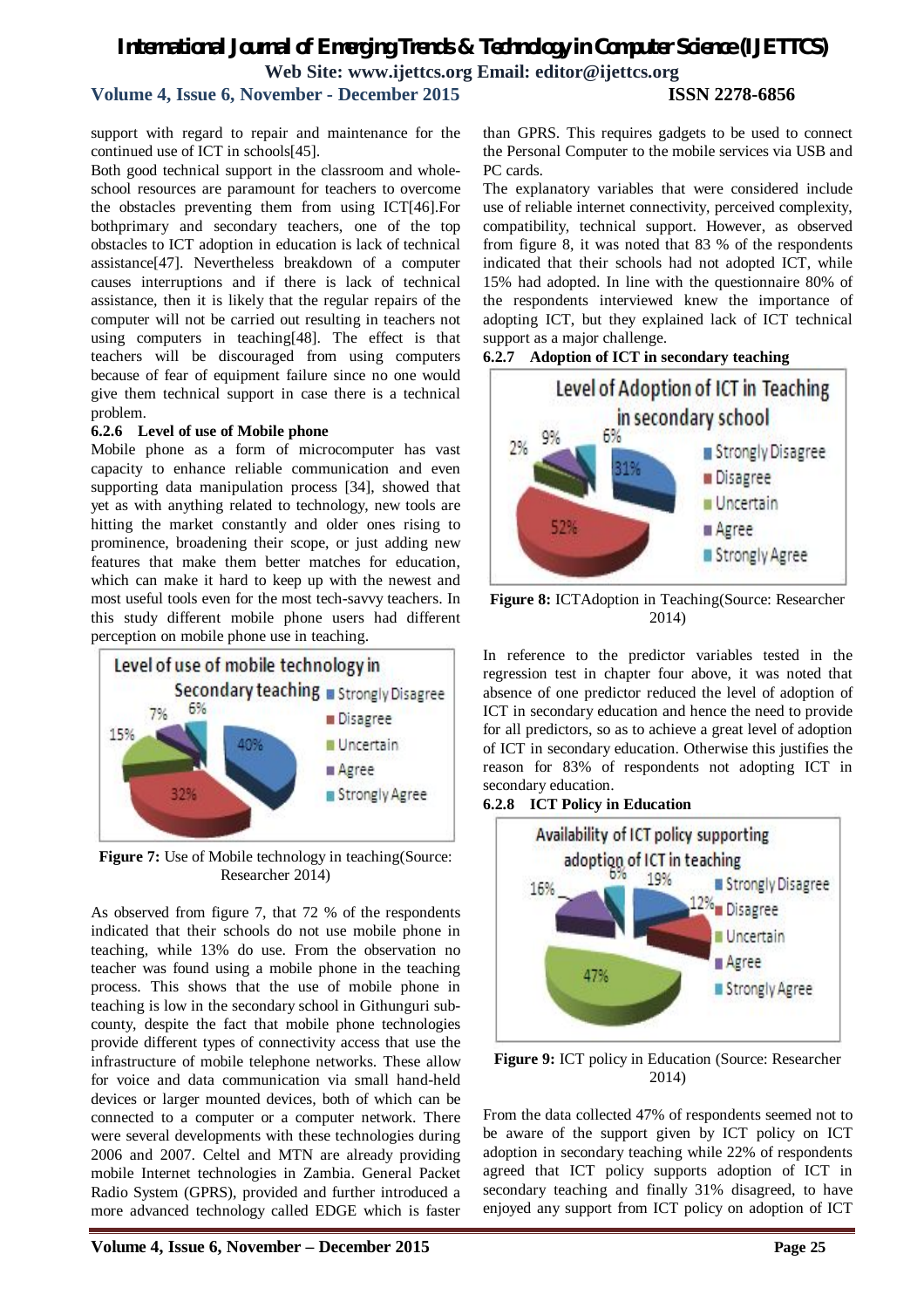support with regard to repair and maintenance for the continued use of ICT in schools[45].

Both good technical support in the classroom and wholeschool resources are paramount for teachers to overcome the obstacles preventing them from using ICT[46].For bothprimary and secondary teachers, one of the top obstacles to ICT adoption in education is lack of technical assistance[47]. Nevertheless breakdown of a computer causes interruptions and if there is lack of technical assistance, then it is likely that the regular repairs of the computer will not be carried out resulting in teachers not using computers in teaching[48]. The effect is that teachers will be discouraged from using computers because of fear of equipment failure since no one would give them technical support in case there is a technical problem.

#### **6.2.6 Level of use of Mobile phone**

Mobile phone as a form of microcomputer has vast capacity to enhance reliable communication and even supporting data manipulation process [34], showed that yet as with anything related to technology, new tools are hitting the market constantly and older ones rising to prominence, broadening their scope, or just adding new features that make them better matches for education, which can make it hard to keep up with the newest and most useful tools even for the most tech-savvy teachers. In this study different mobile phone users had different perception on mobile phone use in teaching.



Figure 7: Use of Mobile technology in teaching(Source: Researcher 2014)

As observed from figure 7, that 72 % of the respondents indicated that their schools do not use mobile phone in teaching, while 13% do use. From the observation no teacher was found using a mobile phone in the teaching process. This shows that the use of mobile phone in teaching is low in the secondary school in Githunguri subcounty, despite the fact that mobile phone technologies provide different types of connectivity access that use the infrastructure of mobile telephone networks. These allow for voice and data communication via small hand-held devices or larger mounted devices, both of which can be connected to a computer or a computer network. There were several developments with these technologies during 2006 and 2007. Celtel and MTN are already providing mobile Internet technologies in Zambia. General Packet Radio System (GPRS), provided and further introduced a more advanced technology called EDGE which is faster

than GPRS. This requires gadgets to be used to connect the Personal Computer to the mobile services via USB and PC cards.

The explanatory variables that were considered include use of reliable internet connectivity, perceived complexity, compatibility, technical support. However, as observed from figure 8, it was noted that 83 % of the respondents indicated that their schools had not adopted ICT, while 15% had adopted. In line with the questionnaire 80% of the respondents interviewed knew the importance of adopting ICT, but they explained lack of ICT technical support as a major challenge.





**Figure 8:** ICTAdoption in Teaching(Source: Researcher 2014)

In reference to the predictor variables tested in the regression test in chapter four above, it was noted that absence of one predictor reduced the level of adoption of ICT in secondary education and hence the need to provide for all predictors, so as to achieve a great level of adoption of ICT in secondary education. Otherwise this justifies the reason for 83% of respondents not adopting ICT in secondary education.





**Figure 9:** ICT policy in Education (Source: Researcher 2014)

From the data collected 47% of respondents seemed not to be aware of the support given by ICT policy on ICT adoption in secondary teaching while 22% of respondents agreed that ICT policy supports adoption of ICT in secondary teaching and finally 31% disagreed, to have enjoyed any support from ICT policy on adoption of ICT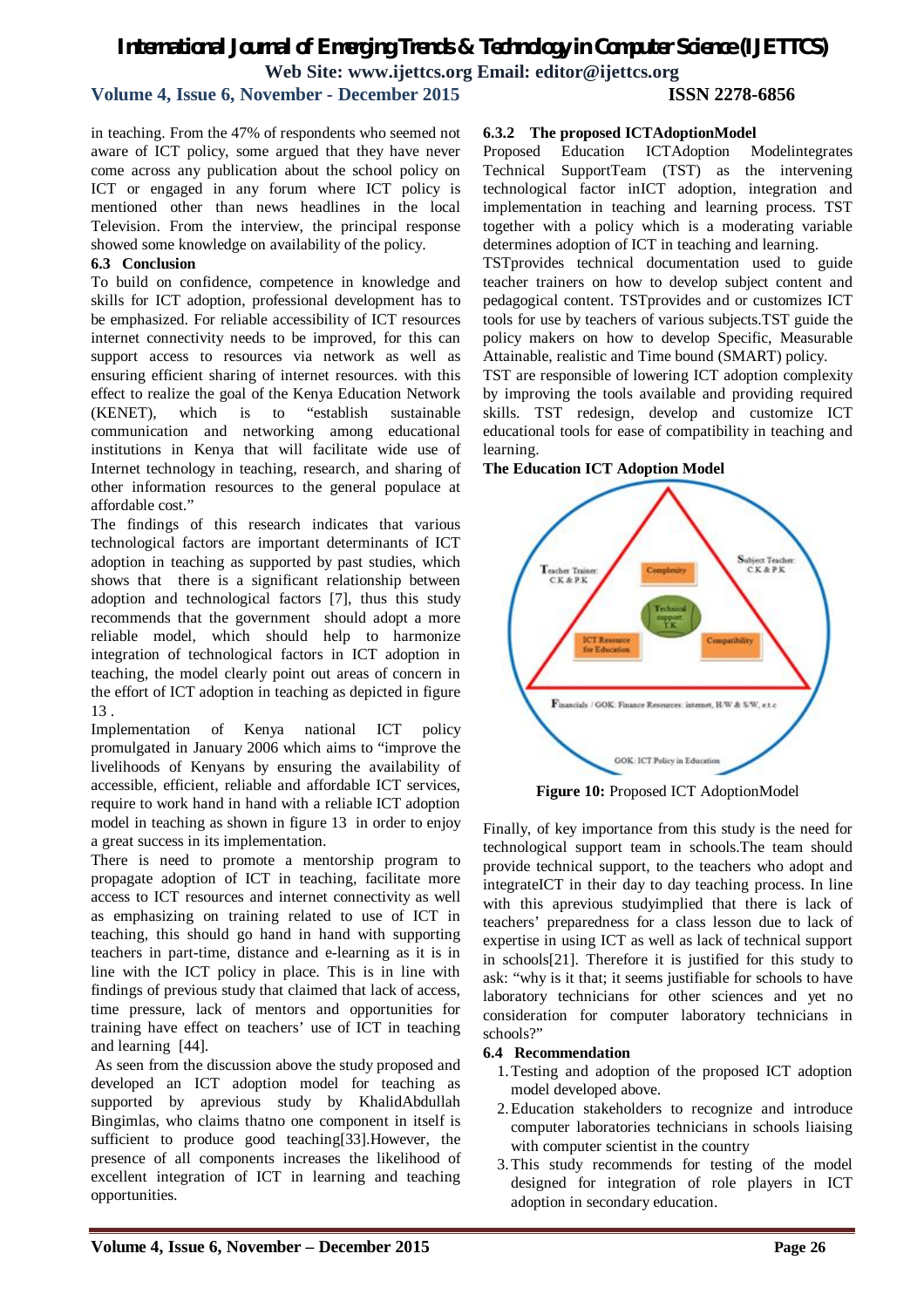## **Volume 4, Issue 6, November - December 2015 ISSN 2278-6856**

in teaching. From the 47% of respondents who seemed not aware of ICT policy, some argued that they have never come across any publication about the school policy on ICT or engaged in any forum where ICT policy is mentioned other than news headlines in the local Television. From the interview, the principal response showed some knowledge on availability of the policy.

#### **6.3 Conclusion**

To build on confidence, competence in knowledge and skills for ICT adoption, professional development has to be emphasized. For reliable accessibility of ICT resources internet connectivity needs to be improved, for this can support access to resources via network as well as ensuring efficient sharing of internet resources. with this effect to realize the goal of the Kenya Education Network (KENET), which is to "establish sustainable communication and networking among educational institutions in Kenya that will facilitate wide use of Internet technology in teaching, research, and sharing of other information resources to the general populace at affordable cost."

The findings of this research indicates that various technological factors are important determinants of ICT adoption in teaching as supported by past studies, which shows that there is a significant relationship between adoption and technological factors [7], thus this study recommends that the government should adopt a more reliable model, which should help to harmonize integration of technological factors in ICT adoption in teaching, the model clearly point out areas of concern in the effort of ICT adoption in teaching as depicted in figure 13 .

Implementation of Kenya national ICT policy promulgated in January 2006 which aims to "improve the livelihoods of Kenyans by ensuring the availability of accessible, efficient, reliable and affordable ICT services, require to work hand in hand with a reliable ICT adoption model in teaching as shown in figure 13 in order to enjoy a great success in its implementation.

There is need to promote a mentorship program to propagate adoption of ICT in teaching, facilitate more access to ICT resources and internet connectivity as well as emphasizing on training related to use of ICT in teaching, this should go hand in hand with supporting teachers in part-time, distance and e-learning as it is in line with the ICT policy in place. This is in line with findings of previous study that claimed that lack of access, time pressure, lack of mentors and opportunities for training have effect on teachers' use of ICT in teaching and learning [44].

As seen from the discussion above the study proposed and developed an ICT adoption model for teaching as supported by aprevious study by KhalidAbdullah Bingimlas, who claims thatno one component in itself is sufficient to produce good teaching[33].However, the presence of all components increases the likelihood of excellent integration of ICT in learning and teaching opportunities.

**6.3.2 The proposed ICTAdoptionModel**

Proposed Education ICTAdoption Modelintegrates Technical SupportTeam (TST) as the intervening technological factor inICT adoption, integration and implementation in teaching and learning process. TST together with a policy which is a moderating variable determines adoption of ICT in teaching and learning.

TSTprovides technical documentation used to guide teacher trainers on how to develop subject content and pedagogical content. TSTprovides and or customizes ICT tools for use by teachers of various subjects.TST guide the policy makers on how to develop Specific, Measurable Attainable, realistic and Time bound (SMART) policy.

TST are responsible of lowering ICT adoption complexity by improving the tools available and providing required skills. TST redesign, develop and customize ICT educational tools for ease of compatibility in teaching and learning.

#### **The Education ICT Adoption Model**



**Figure 10:** Proposed ICT AdoptionModel

Finally, of key importance from this study is the need for technological support team in schools.The team should provide technical support, to the teachers who adopt and integrateICT in their day to day teaching process. In line with this aprevious studyimplied that there is lack of teachers' preparedness for a class lesson due to lack of expertise in using ICT as well as lack of technical support in schools[21]. Therefore it is justified for this study to ask: "why is it that; it seems justifiable for schools to have laboratory technicians for other sciences and yet no consideration for computer laboratory technicians in schools?"

#### **6.4 Recommendation**

- 1.Testing and adoption of the proposed ICT adoption model developed above.
- 2.Education stakeholders to recognize and introduce computer laboratories technicians in schools liaising with computer scientist in the country
- 3.This study recommends for testing of the model designed for integration of role players in ICT adoption in secondary education.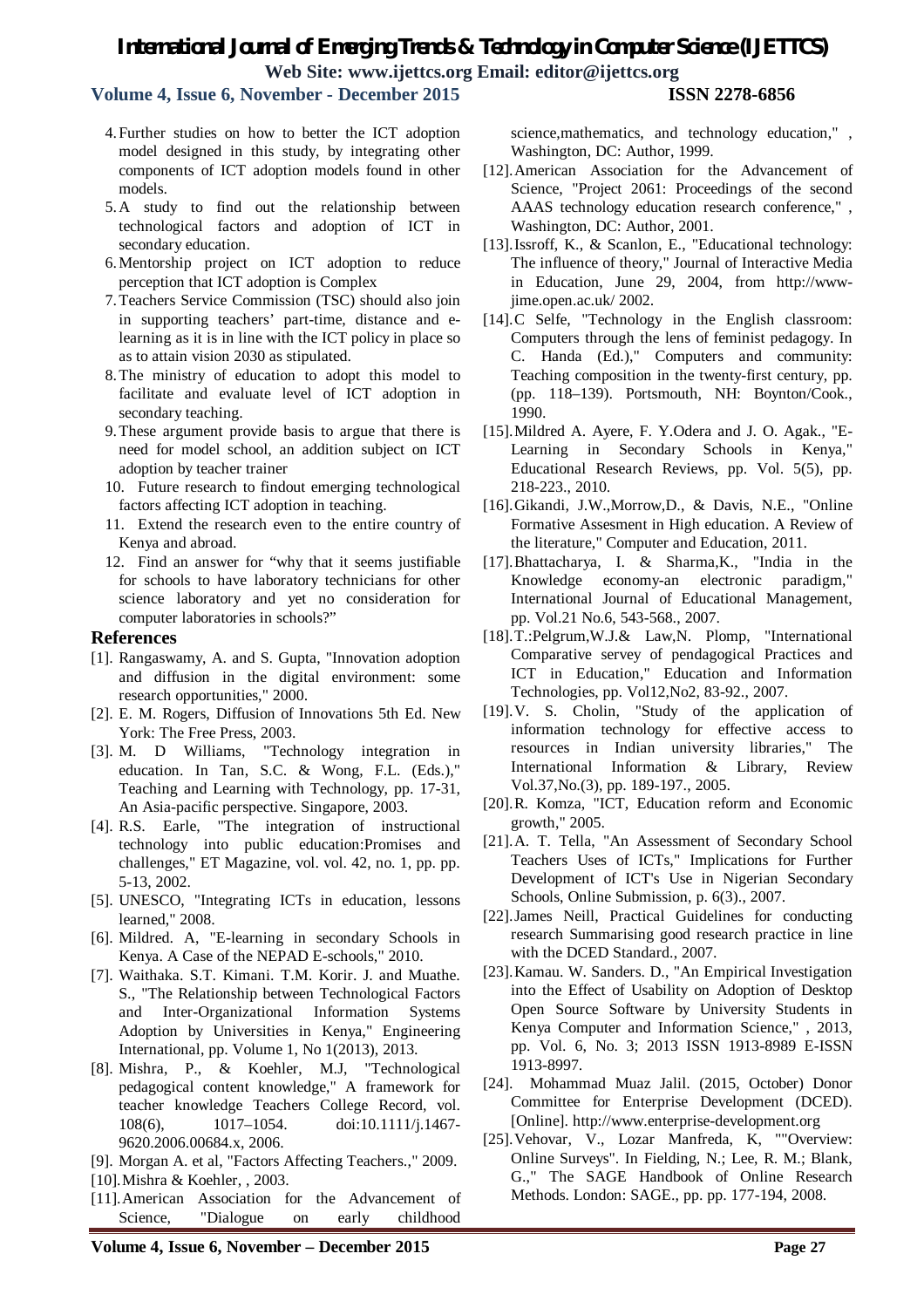#### **Volume 4, Issue 6, November - December 2015 ISSN 2278-6856**

- 4.Further studies on how to better the ICT adoption model designed in this study, by integrating other components of ICT adoption models found in other models.
- 5.A study to find out the relationship between technological factors and adoption of ICT in secondary education.
- 6.Mentorship project on ICT adoption to reduce perception that ICT adoption is Complex
- 7.Teachers Service Commission (TSC) should also join in supporting teachers' part-time, distance and elearning as it is in line with the ICT policy in place so as to attain vision 2030 as stipulated.
- 8.The ministry of education to adopt this model to facilitate and evaluate level of ICT adoption in secondary teaching.
- 9.These argument provide basis to argue that there is need for model school, an addition subject on ICT adoption by teacher trainer
- 10. Future research to findout emerging technological factors affecting ICT adoption in teaching.
- 11. Extend the research even to the entire country of Kenya and abroad.
- 12. Find an answer for "why that it seems justifiable for schools to have laboratory technicians for other science laboratory and yet no consideration for computer laboratories in schools?"

#### **References**

- [1]. Rangaswamy, A. and S. Gupta, "Innovation adoption and diffusion in the digital environment: some research opportunities," 2000.
- [2]. E. M. Rogers, Diffusion of Innovations 5th Ed. New York: The Free Press, 2003.
- [3]. M. D Williams, "Technology integration in education. In Tan, S.C. & Wong, F.L. (Eds.)," Teaching and Learning with Technology, pp. 17-31, An Asia-pacific perspective. Singapore, 2003.
- [4]. R.S. Earle, "The integration of instructional technology into public education:Promises and challenges," ET Magazine, vol. vol. 42, no. 1, pp. pp. 5-13, 2002.
- [5]. UNESCO, "Integrating ICTs in education, lessons learned," 2008.
- [6]. Mildred. A, "E-learning in secondary Schools in Kenya. A Case of the NEPAD E-schools," 2010.
- [7]. Waithaka. S.T. Kimani. T.M. Korir. J. and Muathe. S., "The Relationship between Technological Factors and Inter-Organizational Information Systems Adoption by Universities in Kenya," Engineering International, pp. Volume 1, No 1(2013), 2013.
- [8]. Mishra, P., & Koehler, M.J, "Technological pedagogical content knowledge," A framework for teacher knowledge Teachers College Record, vol. 108(6), 1017–1054. doi:10.1111/j.1467- 9620.2006.00684.x, 2006.
- [9]. Morgan A. et al, "Factors Affecting Teachers.," 2009.
- [10].Mishra & Koehler, , 2003.
- [11].American Association for the Advancement of Science, "Dialogue on early childhood

science,mathematics, and technology education," , Washington, DC: Author, 1999.

- [12].American Association for the Advancement of Science, "Project 2061: Proceedings of the second AAAS technology education research conference," , Washington, DC: Author, 2001.
- [13].Issroff, K., & Scanlon, E., "Educational technology: The influence of theory," Journal of Interactive Media in Education, June 29, 2004, from http://wwwjime.open.ac.uk/ 2002.
- [14].C Selfe, "Technology in the English classroom: Computers through the lens of feminist pedagogy. In C. Handa (Ed.)," Computers and community: Teaching composition in the twenty-first century, pp. (pp. 118–139). Portsmouth, NH: Boynton/Cook., 1990.
- [15].Mildred A. Ayere, F. Y.Odera and J. O. Agak., "E-Learning in Secondary Schools in Kenya," Educational Research Reviews, pp. Vol. 5(5), pp. 218-223., 2010.
- [16].Gikandi, J.W.,Morrow,D., & Davis, N.E., "Online Formative Assesment in High education. A Review of the literature," Computer and Education, 2011.
- [17].Bhattacharya, I. & Sharma,K., "India in the Knowledge economy-an electronic paradigm," International Journal of Educational Management, pp. Vol.21 No.6, 543-568., 2007.
- [18].T.:Pelgrum,W.J.& Law,N. Plomp, "International Comparative servey of pendagogical Practices and ICT in Education," Education and Information Technologies, pp. Vol12,No2, 83-92., 2007.
- [19].V. S. Cholin, "Study of the application of information technology for effective access to resources in Indian university libraries," The International Information & Library, Review Vol.37,No.(3), pp. 189-197., 2005.
- [20].R. Komza, "ICT, Education reform and Economic growth," 2005.
- [21].A. T. Tella, "An Assessment of Secondary School Teachers Uses of ICTs," Implications for Further Development of ICT's Use in Nigerian Secondary Schools, Online Submission, p. 6(3)., 2007.
- [22].James Neill, Practical Guidelines for conducting research Summarising good research practice in line with the DCED Standard., 2007.
- [23].Kamau. W. Sanders. D., "An Empirical Investigation into the Effect of Usability on Adoption of Desktop Open Source Software by University Students in Kenya Computer and Information Science," , 2013, pp. Vol. 6, No. 3; 2013 ISSN 1913-8989 E-ISSN 1913-8997.
- [24]. Mohammad Muaz Jalil. (2015, October) Donor Committee for Enterprise Development (DCED). [Online]. http://www.enterprise-development.org
- [25].Vehovar, V., Lozar Manfreda, K, ""Overview: Online Surveys". In Fielding, N.; Lee, R. M.; Blank, G.," The SAGE Handbook of Online Research Methods. London: SAGE., pp. pp. 177-194, 2008.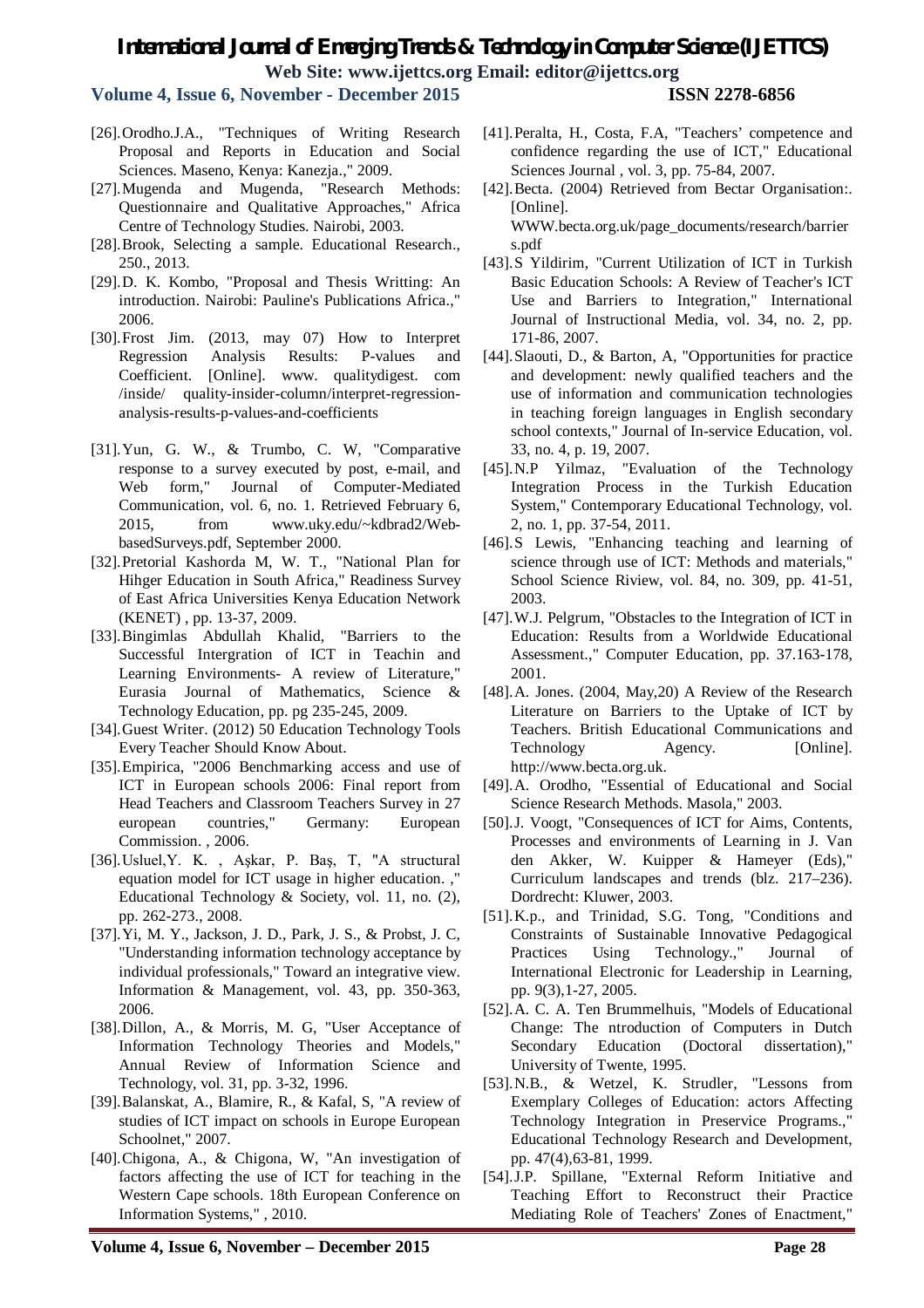**Volume 4, Issue 6, November - December 2015 ISSN 2278-6856**

- [26].Orodho.J.A., "Techniques of Writing Research Proposal and Reports in Education and Social Sciences. Maseno, Kenya: Kanezja.," 2009.
- [27].Mugenda and Mugenda, "Research Methods: Questionnaire and Qualitative Approaches," Africa Centre of Technology Studies. Nairobi, 2003.
- [28].Brook, Selecting a sample. Educational Research., 250., 2013.
- [29].D. K. Kombo, "Proposal and Thesis Writting: An introduction. Nairobi: Pauline's Publications Africa.," 2006.
- [30].Frost Jim. (2013, may 07) How to Interpret Regression Analysis Results: P-values and Coefficient. [Online]. www. qualitydigest. com /inside/ quality-insider-column/interpret-regressionanalysis-results-p-values-and-coefficients
- [31].Yun, G. W., & Trumbo, C. W, "Comparative response to a survey executed by post, e-mail, and Web form," Journal of Computer-Mediated Communication, vol. 6, no. 1. Retrieved February 6, 2015, from www.uky.edu/~kdbrad2/WebbasedSurveys.pdf, September 2000.
- [32].Pretorial Kashorda M, W. T., "National Plan for Hihger Education in South Africa," Readiness Survey of East Africa Universities Kenya Education Network (KENET) , pp. 13-37, 2009.
- [33].Bingimlas Abdullah Khalid, "Barriers to the Successful Intergration of ICT in Teachin and Learning Environments- A review of Literature," Eurasia Journal of Mathematics, Science & Technology Education, pp. pg 235-245, 2009.
- [34].Guest Writer. (2012) 50 Education Technology Tools Every Teacher Should Know About.
- [35].Empirica, "2006 Benchmarking access and use of ICT in European schools 2006: Final report from Head Teachers and Classroom Teachers Survey in 27 european countries," Germany: European Commission. , 2006.
- [36].Usluel,Y. K. , Aşkar, P. Baş, T, "A structural equation model for ICT usage in higher education. ," Educational Technology & Society, vol. 11, no. (2), pp. 262-273., 2008.
- [37].Yi, M. Y., Jackson, J. D., Park, J. S., & Probst, J. C, "Understanding information technology acceptance by individual professionals," Toward an integrative view. Information & Management, vol. 43, pp. 350-363, 2006.
- [38].Dillon, A., & Morris, M. G, "User Acceptance of Information Technology Theories and Models," Annual Review of Information Science and Technology, vol. 31, pp. 3-32, 1996.
- [39].Balanskat, A., Blamire, R., & Kafal, S, "A review of studies of ICT impact on schools in Europe European Schoolnet," 2007.
- [40].Chigona, A., & Chigona, W, "An investigation of factors affecting the use of ICT for teaching in the Western Cape schools. 18th European Conference on Information Systems," , 2010.
- [41].Peralta, H., Costa, F.A, "Teachers' competence and confidence regarding the use of ICT," Educational Sciences Journal , vol. 3, pp. 75-84, 2007.
- [42].Becta. (2004) Retrieved from Bectar Organisation:. [Online].

WWW.becta.org.uk/page\_documents/research/barrier s.pdf

- [43].S Yildirim, "Current Utilization of ICT in Turkish Basic Education Schools: A Review of Teacher's ICT Use and Barriers to Integration," International Journal of Instructional Media, vol. 34, no. 2, pp. 171-86, 2007.
- [44].Slaouti, D., & Barton, A, "Opportunities for practice and development: newly qualified teachers and the use of information and communication technologies in teaching foreign languages in English secondary school contexts," Journal of In-service Education, vol. 33, no. 4, p. 19, 2007.
- [45].N.P Yilmaz, "Evaluation of the Technology Integration Process in the Turkish Education System," Contemporary Educational Technology, vol. 2, no. 1, pp. 37-54, 2011.
- [46].S Lewis, "Enhancing teaching and learning of science through use of ICT: Methods and materials," School Science Riview, vol. 84, no. 309, pp. 41-51, 2003.
- [47].W.J. Pelgrum, "Obstacles to the Integration of ICT in Education: Results from a Worldwide Educational Assessment.," Computer Education, pp. 37.163-178, 2001.
- [48].A. Jones. (2004, May,20) A Review of the Research Literature on Barriers to the Uptake of ICT by Teachers. British Educational Communications and Technology **Agency.** [Online]. http://www.becta.org.uk.
- [49].A. Orodho, "Essential of Educational and Social Science Research Methods. Masola," 2003.
- [50].J. Voogt, "Consequences of ICT for Aims, Contents, Processes and environments of Learning in J. Van den Akker, W. Kuipper & Hameyer (Eds)," Curriculum landscapes and trends (blz. 217–236). Dordrecht: Kluwer, 2003.
- [51].K.p., and Trinidad, S.G. Tong, "Conditions and Constraints of Sustainable Innovative Pedagogical Practices Using Technology.," Journal of International Electronic for Leadership in Learning, pp. 9(3),1-27, 2005.
- [52].A. C. A. Ten Brummelhuis, "Models of Educational Change: The ntroduction of Computers in Dutch Secondary Education (Doctoral dissertation)," University of Twente, 1995.
- [53].N.B., & Wetzel, K. Strudler, "Lessons from Exemplary Colleges of Education: actors Affecting Technology Integration in Preservice Programs.," Educational Technology Research and Development, pp. 47(4),63-81, 1999.
- [54].J.P. Spillane, "External Reform Initiative and Teaching Effort to Reconstruct their Practice Mediating Role of Teachers' Zones of Enactment,"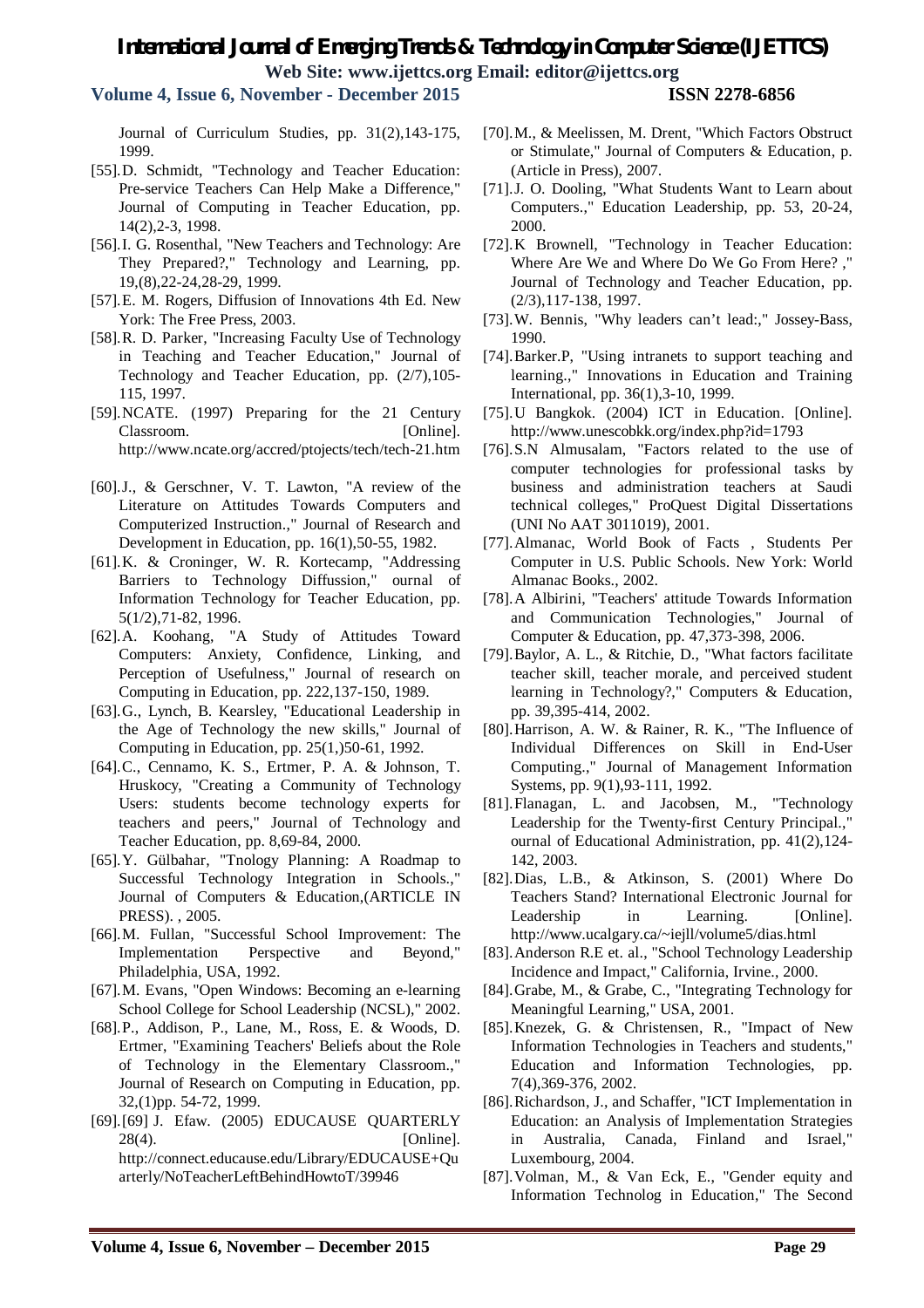**Volume 4, Issue 6, November - December 2015 ISSN 2278-6856**

Journal of Curriculum Studies, pp. 31(2),143-175, 1999.

- [55].D. Schmidt, "Technology and Teacher Education: Pre-service Teachers Can Help Make a Difference," Journal of Computing in Teacher Education, pp. 14(2),2-3, 1998.
- [56].I. G. Rosenthal, "New Teachers and Technology: Are They Prepared?," Technology and Learning, pp. 19,(8),22-24,28-29, 1999.
- [57].E. M. Rogers, Diffusion of Innovations 4th Ed. New York: The Free Press, 2003.
- [58].R. D. Parker, "Increasing Faculty Use of Technology in Teaching and Teacher Education," Journal of Technology and Teacher Education, pp. (2/7),105- 115, 1997.
- [59].NCATE. (1997) Preparing for the 21 Century Classroom. [Online]. http://www.ncate.org/accred/ptojects/tech/tech-21.htm
- [60].J., & Gerschner, V. T. Lawton, "A review of the Literature on Attitudes Towards Computers and Computerized Instruction.," Journal of Research and Development in Education, pp. 16(1),50-55, 1982.
- [61].K. & Croninger, W. R. Kortecamp, "Addressing Barriers to Technology Diffussion," ournal of Information Technology for Teacher Education, pp. 5(1/2),71-82, 1996.
- [62].A. Koohang, "A Study of Attitudes Toward Computers: Anxiety, Confidence, Linking, and Perception of Usefulness," Journal of research on Computing in Education, pp. 222,137-150, 1989.
- [63].G., Lynch, B. Kearsley, "Educational Leadership in the Age of Technology the new skills," Journal of Computing in Education, pp. 25(1,)50-61, 1992.
- [64].C., Cennamo, K. S., Ertmer, P. A. & Johnson, T. Hruskocy, "Creating a Community of Technology Users: students become technology experts for teachers and peers," Journal of Technology and Teacher Education, pp. 8,69-84, 2000.
- [65].Y. Gülbahar, "Tnology Planning: A Roadmap to Successful Technology Integration in Schools.," Journal of Computers & Education,(ARTICLE IN PRESS). , 2005.
- [66].M. Fullan, "Successful School Improvement: The Implementation Perspective and Beyond," Philadelphia, USA, 1992.
- [67].M. Evans, "Open Windows: Becoming an e-learning School College for School Leadership (NCSL)," 2002.
- [68].P., Addison, P., Lane, M., Ross, E. & Woods, D. Ertmer, "Examining Teachers' Beliefs about the Role of Technology in the Elementary Classroom.," Journal of Research on Computing in Education, pp. 32,(1)pp. 54-72, 1999.
- [69].[69] J. Efaw. (2005) EDUCAUSE QUARTERLY  $28(4)$ . [Online]. http://connect.educause.edu/Library/EDUCAUSE+Qu arterly/NoTeacherLeftBehindHowtoT/39946
- [70].M., & Meelissen, M. Drent, "Which Factors Obstruct or Stimulate," Journal of Computers & Education, p. (Article in Press), 2007.
- [71].J. O. Dooling, "What Students Want to Learn about Computers.," Education Leadership, pp. 53, 20-24, 2000.
- [72].K Brownell, "Technology in Teacher Education: Where Are We and Where Do We Go From Here? ," Journal of Technology and Teacher Education, pp. (2/3),117-138, 1997.
- [73].W. Bennis, "Why leaders can't lead:," Jossey-Bass, 1990.
- [74].Barker.P, "Using intranets to support teaching and learning.," Innovations in Education and Training International, pp. 36(1),3-10, 1999.
- [75].U Bangkok. (2004) ICT in Education. [Online]. http://www.unescobkk.org/index.php?id=1793
- [76].S.N Almusalam, "Factors related to the use of computer technologies for professional tasks by business and administration teachers at Saudi technical colleges," ProQuest Digital Dissertations (UNI No AAT 3011019), 2001.
- [77].Almanac, World Book of Facts , Students Per Computer in U.S. Public Schools. New York: World Almanac Books., 2002.
- [78].A Albirini, "Teachers' attitude Towards Information and Communication Technologies," Journal of Computer & Education, pp. 47,373-398, 2006.
- [79].Baylor, A. L., & Ritchie, D., "What factors facilitate teacher skill, teacher morale, and perceived student learning in Technology?," Computers & Education, pp. 39,395-414, 2002.
- [80].Harrison, A. W. & Rainer, R. K., "The Influence of Individual Differences on Skill in End-User Computing.," Journal of Management Information Systems, pp. 9(1),93-111, 1992.
- [81].Flanagan, L. and Jacobsen, M., "Technology Leadership for the Twenty-first Century Principal.," ournal of Educational Administration, pp. 41(2),124- 142, 2003.
- [82].Dias, L.B., & Atkinson, S. (2001) Where Do Teachers Stand? International Electronic Journal for Leadership in Learning. [Online]. http://www.ucalgary.ca/~iejll/volume5/dias.html
- [83]. Anderson R.E et. al., "School Technology Leadership Incidence and Impact," California, Irvine., 2000.
- [84].Grabe, M., & Grabe, C., "Integrating Technology for Meaningful Learning," USA, 2001.
- [85].Knezek, G. & Christensen, R., "Impact of New Information Technologies in Teachers and students," Education and Information Technologies, pp. 7(4),369-376, 2002.
- [86].Richardson, J., and Schaffer, "ICT Implementation in Education: an Analysis of Implementation Strategies in Australia, Canada, Finland and Israel," Luxembourg, 2004.
- [87].Volman, M., & Van Eck, E., "Gender equity and Information Technolog in Education," The Second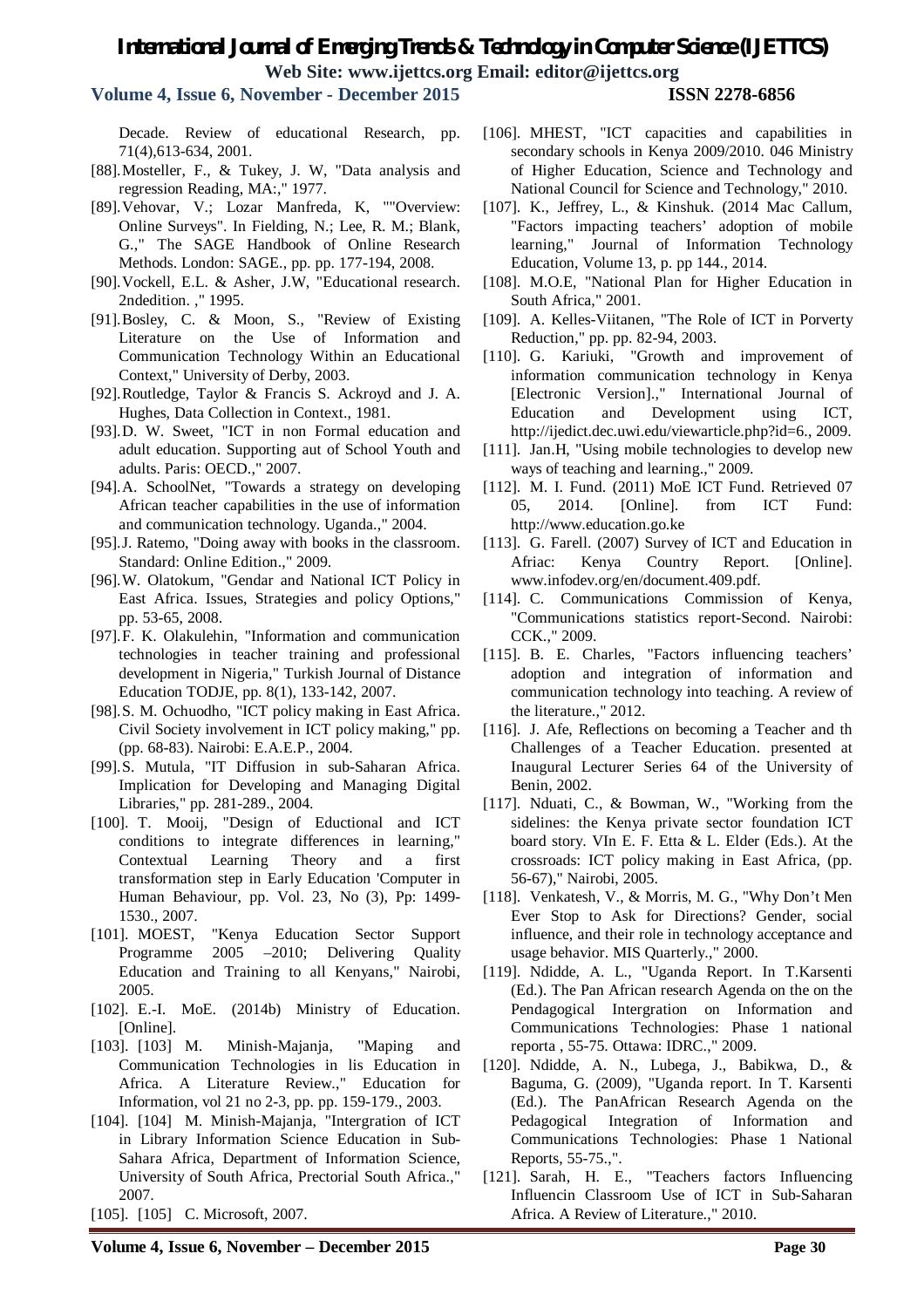**Volume 4, Issue 6, November - December 2015 ISSN 2278-6856**

Decade. Review of educational Research, pp. 71(4),613-634, 2001.

- [88].Mosteller, F., & Tukey, J. W, "Data analysis and regression Reading, MA:," 1977.
- [89].Vehovar, V.; Lozar Manfreda, K, ""Overview: Online Surveys". In Fielding, N.; Lee, R. M.; Blank, G.," The SAGE Handbook of Online Research Methods. London: SAGE., pp. pp. 177-194, 2008.
- [90].Vockell, E.L. & Asher, J.W, "Educational research. 2ndedition. ," 1995.
- [91].Bosley, C. & Moon, S., "Review of Existing Literature on the Use of Information and Communication Technology Within an Educational Context," University of Derby, 2003.
- [92].Routledge, Taylor & Francis S. Ackroyd and J. A. Hughes, Data Collection in Context., 1981.
- [93].D. W. Sweet, "ICT in non Formal education and adult education. Supporting aut of School Youth and adults. Paris: OECD.," 2007.
- [94].A. SchoolNet, "Towards a strategy on developing African teacher capabilities in the use of information and communication technology. Uganda.," 2004.
- [95].J. Ratemo, "Doing away with books in the classroom. Standard: Online Edition.," 2009.
- [96].W. Olatokum, "Gendar and National ICT Policy in East Africa. Issues, Strategies and policy Options," pp. 53-65, 2008.
- [97].F. K. Olakulehin, "Information and communication technologies in teacher training and professional development in Nigeria," Turkish Journal of Distance Education TODJE, pp. 8(1), 133-142, 2007.
- [98].S. M. Ochuodho, "ICT policy making in East Africa. Civil Society involvement in ICT policy making," pp. (pp. 68-83). Nairobi: E.A.E.P., 2004.
- [99].S. Mutula, "IT Diffusion in sub-Saharan Africa. Implication for Developing and Managing Digital Libraries," pp. 281-289., 2004.
- [100]. T. Mooij, "Design of Eductional and ICT conditions to integrate differences in learning," Contextual Learning Theory and a first transformation step in Early Education 'Computer in Human Behaviour, pp. Vol. 23, No (3), Pp: 1499- 1530., 2007.
- [101]. MOEST, "Kenya Education Sector Support Programme 2005 –2010; Delivering Quality Education and Training to all Kenyans," Nairobi, 2005.
- [102]. E.-I. MoE. (2014b) Ministry of Education. [Online].
- [103]. [103] M. Minish-Majanja, "Maping and Communication Technologies in lis Education in Africa. A Literature Review.," Education for Information, vol 21 no 2-3, pp. pp. 159-179., 2003.
- [104]. [104] M. Minish-Majanja, "Intergration of ICT in Library Information Science Education in Sub-Sahara Africa, Department of Information Science, University of South Africa, Prectorial South Africa.," 2007.

[105]. [105] C. Microsoft, 2007.

- [106]. MHEST, "ICT capacities and capabilities in secondary schools in Kenya 2009/2010. 046 Ministry of Higher Education, Science and Technology and National Council for Science and Technology," 2010.
- [107]. K., Jeffrey, L., & Kinshuk. (2014 Mac Callum, "Factors impacting teachers' adoption of mobile learning," Journal of Information Technology Education, Volume 13, p. pp 144., 2014.
- [108]. M.O.E, "National Plan for Higher Education in South Africa," 2001.
- [109]. A. Kelles-Viitanen, "The Role of ICT in Porverty Reduction," pp. pp. 82-94, 2003.
- [110]. G. Kariuki, "Growth and improvement of information communication technology in Kenya [Electronic Version].," International Journal of Education and Development using ICT, http://ijedict.dec.uwi.edu/viewarticle.php?id=6., 2009.
- [111]. Jan.H, "Using mobile technologies to develop new ways of teaching and learning.," 2009.
- [112]. M. I. Fund. (2011) MoE ICT Fund. Retrieved 07 05, 2014. [Online]. from ICT Fund: http://www.education.go.ke
- [113]. G. Farell. (2007) Survey of ICT and Education in Afriac: Kenya Country Report. [Online]. www.infodev.org/en/document.409.pdf.
- [114]. C. Communications Commission of Kenya, "Communications statistics report-Second. Nairobi: CCK.," 2009.
- [115]. B. E. Charles, "Factors influencing teachers' adoption and integration of information and communication technology into teaching. A review of the literature.," 2012.
- [116]. J. Afe, Reflections on becoming a Teacher and th Challenges of a Teacher Education. presented at Inaugural Lecturer Series 64 of the University of Benin, 2002.
- [117]. Nduati, C., & Bowman, W., "Working from the sidelines: the Kenya private sector foundation ICT board story. VIn E. F. Etta & L. Elder (Eds.). At the crossroads: ICT policy making in East Africa, (pp. 56-67)," Nairobi, 2005.
- [118]. Venkatesh, V., & Morris, M. G., "Why Don't Men Ever Stop to Ask for Directions? Gender, social influence, and their role in technology acceptance and usage behavior. MIS Quarterly.," 2000.
- [119]. Ndidde, A. L., "Uganda Report. In T.Karsenti (Ed.). The Pan African research Agenda on the on the Pendagogical Intergration on Information and Communications Technologies: Phase 1 national reporta , 55-75. Ottawa: IDRC.," 2009.
- [120]. Ndidde, A. N., Lubega, J., Babikwa, D., & Baguma, G. (2009), "Uganda report. In T. Karsenti (Ed.). The PanAfrican Research Agenda on the Pedagogical Integration of Information and Communications Technologies: Phase 1 National Reports, 55-75.,".
- [121]. Sarah, H. E., "Teachers factors Influencing Influencin Classroom Use of ICT in Sub-Saharan Africa. A Review of Literature.," 2010.